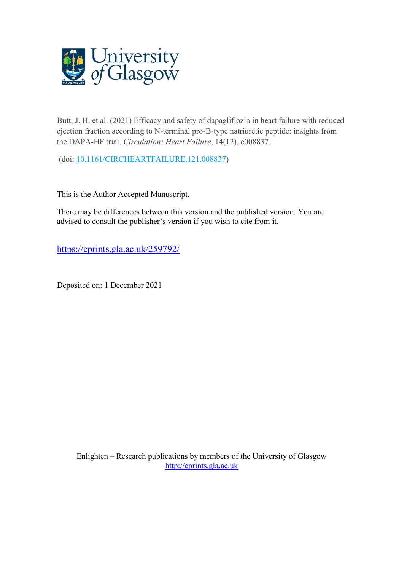

Butt, J. H. et al. (2021) Efficacy and safety of dapagliflozin in heart failure with reduced ejection fraction according to N-terminal pro-B-type natriuretic peptide: insights from the DAPA-HF trial. *Circulation: Heart Failure*, 14(12), e008837.

(doi: [10.1161/CIRCHEARTFAILURE.121.008837\)](http://dx.doi.org/10.1161/CIRCHEARTFAILURE.121.008837)

This is the Author Accepted Manuscript.

There may be differences between this version and the published version. You are advised to consult the publisher's version if you wish to cite from it.

<https://eprints.gla.ac.uk/259792/>

Deposited on: 1 December 2021

Enlighten – Research publications by members of the University of Glasgow [http://eprints.gla.ac.uk](http://eprints.gla.ac.uk/)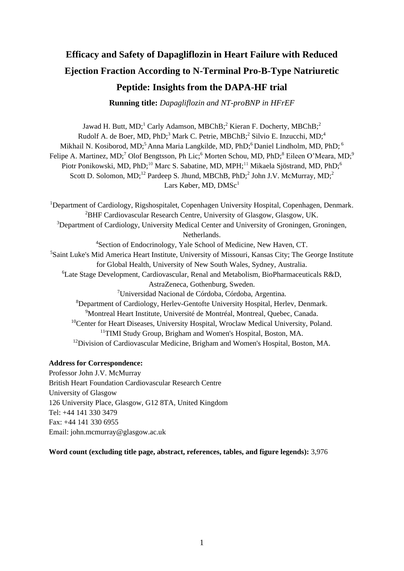# **Efficacy and Safety of Dapagliflozin in Heart Failure with Reduced Ejection Fraction According to N-Terminal Pro-B-Type Natriuretic Peptide: Insights from the DAPA-HF trial**

**Running title:** *Dapagliflozin and NT-proBNP in HFrEF*

Jawad H. Butt, MD;<sup>1</sup> Carly Adamson, MBChB;<sup>2</sup> Kieran F. Docherty, MBChB;<sup>2</sup> Rudolf A. de Boer, MD, PhD;<sup>3</sup> Mark C. Petrie, MBChB;<sup>2</sup> Silvio E. Inzucchi, MD;<sup>4</sup> Mikhail N. Kosiborod, MD;<sup>5</sup> Anna Maria Langkilde, MD, PhD;<sup>6</sup> Daniel Lindholm, MD, PhD;<sup>6</sup> Felipe A. Martinez, MD;<sup>7</sup> Olof Bengtsson, Ph Lic;<sup>6</sup> Morten Schou, MD, PhD;<sup>8</sup> Eileen O'Meara, MD;<sup>9</sup> Piotr Ponikowski, MD, PhD;<sup>10</sup> Marc S. Sabatine, MD, MPH;<sup>11</sup> Mikaela Sjöstrand, MD, PhD;<sup>6</sup> Scott D. Solomon, MD;<sup>12</sup> Pardeep S. Jhund, MBChB, PhD;<sup>2</sup> John J.V. McMurray, MD;<sup>2</sup> Lars Køber, MD,  $DMSc<sup>1</sup>$ 

<sup>1</sup>Department of Cardiology, Rigshospitalet, Copenhagen University Hospital, Copenhagen, Denmark. <sup>2</sup>BHF Cardiovascular Research Centre, University of Glasgow, Glasgow, UK. <sup>3</sup>Department of Cardiology, University Medical Center and University of Groningen, Groningen, Netherlands. <sup>4</sup>Section of Endocrinology, Yale School of Medicine, New Haven, CT. <sup>5</sup>Saint Luke's Mid America Heart Institute, University of Missouri, Kansas City; The George Institute for Global Health, University of New South Wales, Sydney, Australia. <sup>6</sup>Late Stage Development, Cardiovascular, Renal and Metabolism, BioPharmaceuticals R&D, AstraZeneca, Gothenburg, Sweden. <sup>7</sup>Universidad Nacional de Córdoba, Córdoba, Argentina. <sup>8</sup>Department of Cardiology, Herlev-Gentofte University Hospital, Herlev, Denmark. <sup>9</sup>Montreal Heart Institute, Université de Montréal, Montreal, Quebec, Canada. <sup>10</sup>Center for Heart Diseases, University Hospital, Wroclaw Medical University, Poland. <sup>11</sup>TIMI Study Group, Brigham and Women's Hospital, Boston, MA. <sup>12</sup>Division of Cardiovascular Medicine, Brigham and Women's Hospital, Boston, MA.

#### **Address for Correspondence:**

Professor John J.V. McMurray British Heart Foundation Cardiovascular Research Centre University of Glasgow 126 University Place, Glasgow, G12 8TA, United Kingdom Tel: +44 141 330 3479 Fax: +44 141 330 6955 Email: john.mcmurray@glasgow.ac.uk

**Word count (excluding title page, abstract, references, tables, and figure legends):** 3,976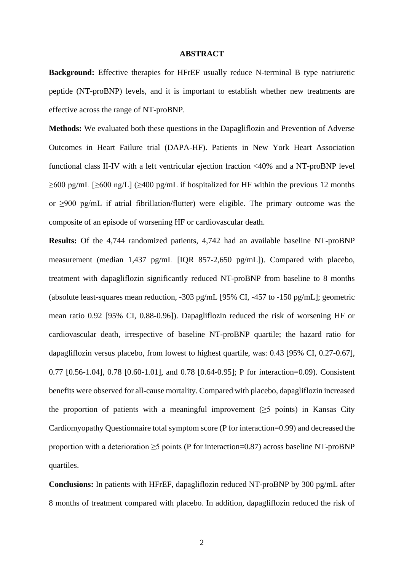#### **ABSTRACT**

**Background:** Effective therapies for HFrEF usually reduce N-terminal B type natriuretic peptide (NT-proBNP) levels, and it is important to establish whether new treatments are effective across the range of NT-proBNP.

**Methods:** We evaluated both these questions in the Dapagliflozin and Prevention of Adverse Outcomes in Heart Failure trial (DAPA-HF). Patients in New York Heart Association functional class II-IV with a left ventricular ejection fraction  $\leq 40\%$  and a NT-proBNP level  $\geq 600$  pg/mL [ $\geq 600$  ng/L] ( $\geq 400$  pg/mL if hospitalized for HF within the previous 12 months or ≥900 pg/mL if atrial fibrillation/flutter) were eligible. The primary outcome was the composite of an episode of worsening HF or cardiovascular death.

**Results:** Of the 4,744 randomized patients, 4,742 had an available baseline NT-proBNP measurement (median 1,437 pg/mL [IQR 857-2,650 pg/mL]). Compared with placebo, treatment with dapagliflozin significantly reduced NT-proBNP from baseline to 8 months (absolute least-squares mean reduction, -303 pg/mL [95% CI, -457 to -150 pg/mL]; geometric mean ratio 0.92 [95% CI, 0.88-0.96]). Dapagliflozin reduced the risk of worsening HF or cardiovascular death, irrespective of baseline NT-proBNP quartile; the hazard ratio for dapagliflozin versus placebo, from lowest to highest quartile, was: 0.43 [95% CI, 0.27-0.67], 0.77 [0.56-1.04], 0.78 [0.60-1.01], and 0.78 [0.64-0.95]; P for interaction=0.09). Consistent benefits were observed for all-cause mortality. Compared with placebo, dapagliflozin increased the proportion of patients with a meaningful improvement ( $\geq$ 5 points) in Kansas City Cardiomyopathy Questionnaire total symptom score (P for interaction=0.99) and decreased the proportion with a deterioration  $\geq$ 5 points (P for interaction=0.87) across baseline NT-proBNP quartiles.

**Conclusions:** In patients with HFrEF, dapagliflozin reduced NT-proBNP by 300 pg/mL after 8 months of treatment compared with placebo. In addition, dapagliflozin reduced the risk of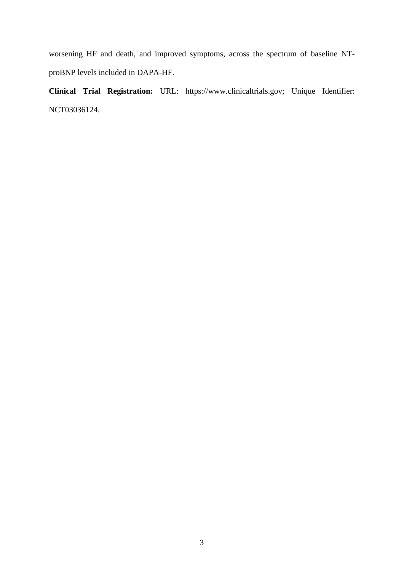worsening HF and death, and improved symptoms, across the spectrum of baseline NTproBNP levels included in DAPA-HF.

**Clinical Trial Registration:** URL: https://www.clinicaltrials.gov; Unique Identifier: NCT03036124.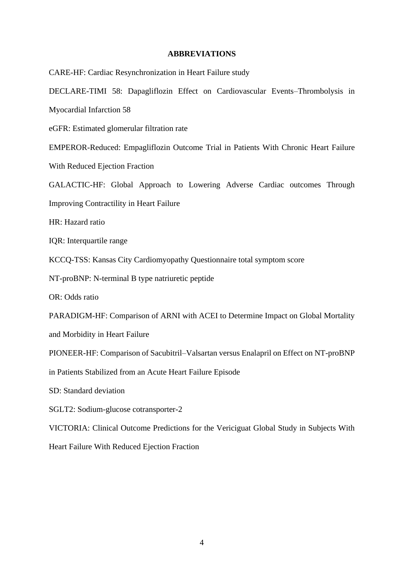#### **ABBREVIATIONS**

CARE-HF: Cardiac Resynchronization in Heart Failure study DECLARE-TIMI 58: Dapagliflozin Effect on Cardiovascular Events–Thrombolysis in Myocardial Infarction 58 eGFR: Estimated glomerular filtration rate EMPEROR-Reduced: Empagliflozin Outcome Trial in Patients With Chronic Heart Failure With Reduced Ejection Fraction GALACTIC-HF: Global Approach to Lowering Adverse Cardiac outcomes Through Improving Contractility in Heart Failure HR: Hazard ratio IQR: Interquartile range KCCQ-TSS: Kansas City Cardiomyopathy Questionnaire total symptom score NT-proBNP: N-terminal B type natriuretic peptide OR: Odds ratio PARADIGM-HF: Comparison of ARNI with ACEI to Determine Impact on Global Mortality and Morbidity in Heart Failure PIONEER-HF: Comparison of Sacubitril–Valsartan versus Enalapril on Effect on NT-proBNP in Patients Stabilized from an Acute Heart Failure Episode SD: Standard deviation SGLT2: Sodium-glucose cotransporter-2 VICTORIA: Clinical Outcome Predictions for the Vericiguat Global Study in Subjects With Heart Failure With Reduced Ejection Fraction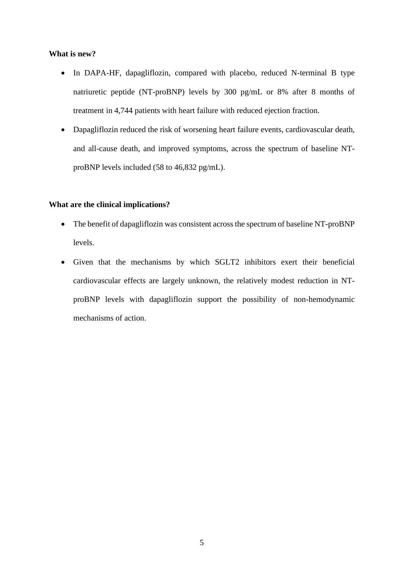#### **What is new?**

- In DAPA-HF, dapagliflozin, compared with placebo, reduced N-terminal B type natriuretic peptide (NT-proBNP) levels by 300 pg/mL or 8% after 8 months of treatment in 4,744 patients with heart failure with reduced ejection fraction.
- Dapagliflozin reduced the risk of worsening heart failure events, cardiovascular death, and all-cause death, and improved symptoms, across the spectrum of baseline NTproBNP levels included (58 to 46,832 pg/mL).

#### **What are the clinical implications?**

- The benefit of dapagliflozin was consistent across the spectrum of baseline NT-proBNP levels.
- Given that the mechanisms by which SGLT2 inhibitors exert their beneficial cardiovascular effects are largely unknown, the relatively modest reduction in NTproBNP levels with dapagliflozin support the possibility of non-hemodynamic mechanisms of action.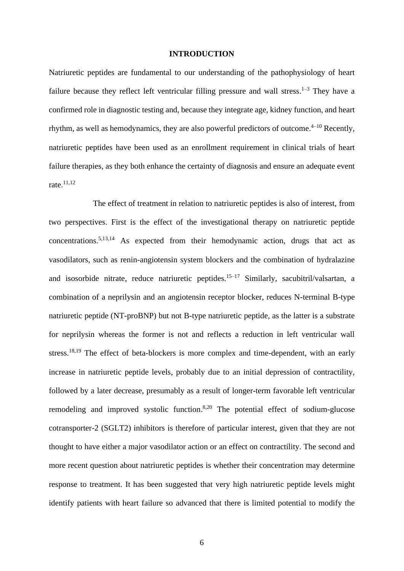#### **INTRODUCTION**

Natriuretic peptides are fundamental to our understanding of the pathophysiology of heart failure because they reflect left ventricular filling pressure and wall stress.<sup>1-3</sup> They have a confirmed role in diagnostic testing and, because they integrate age, kidney function, and heart rhythm, as well as hemodynamics, they are also powerful predictors of outcome.<sup>4-10</sup> Recently, natriuretic peptides have been used as an enrollment requirement in clinical trials of heart failure therapies, as they both enhance the certainty of diagnosis and ensure an adequate event rate.11,12

The effect of treatment in relation to natriuretic peptides is also of interest, from two perspectives. First is the effect of the investigational therapy on natriuretic peptide concentrations. 5,13,14 As expected from their hemodynamic action, drugs that act as vasodilators, such as renin-angiotensin system blockers and the combination of hydralazine and isosorbide nitrate, reduce natriuretic peptides.<sup>15–17</sup> Similarly, sacubitril/valsartan, a combination of a neprilysin and an angiotensin receptor blocker, reduces N-terminal B-type natriuretic peptide (NT-proBNP) but not B-type natriuretic peptide, as the latter is a substrate for neprilysin whereas the former is not and reflects a reduction in left ventricular wall stress.<sup>18,19</sup> The effect of beta-blockers is more complex and time-dependent, with an early increase in natriuretic peptide levels, probably due to an initial depression of contractility, followed by a later decrease, presumably as a result of longer-term favorable left ventricular remodeling and improved systolic function.<sup>8,20</sup> The potential effect of sodium-glucose cotransporter-2 (SGLT2) inhibitors is therefore of particular interest, given that they are not thought to have either a major vasodilator action or an effect on contractility. The second and more recent question about natriuretic peptides is whether their concentration may determine response to treatment. It has been suggested that very high natriuretic peptide levels might identify patients with heart failure so advanced that there is limited potential to modify the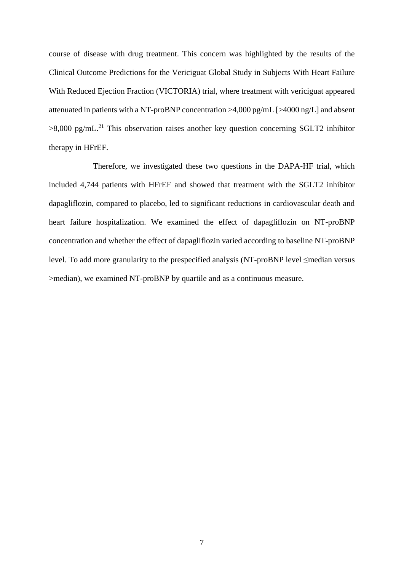course of disease with drug treatment. This concern was highlighted by the results of the Clinical Outcome Predictions for the Vericiguat Global Study in Subjects With Heart Failure With Reduced Ejection Fraction (VICTORIA) trial, where treatment with vericiguat appeared attenuated in patients with a NT-proBNP concentration >4,000 pg/mL [>4000 ng/L] and absent  $>8,000$  pg/mL.<sup>21</sup> This observation raises another key question concerning SGLT2 inhibitor therapy in HFrEF.

Therefore, we investigated these two questions in the DAPA-HF trial, which included 4,744 patients with HFrEF and showed that treatment with the SGLT2 inhibitor dapagliflozin, compared to placebo, led to significant reductions in cardiovascular death and heart failure hospitalization. We examined the effect of dapagliflozin on NT-proBNP concentration and whether the effect of dapagliflozin varied according to baseline NT-proBNP level. To add more granularity to the prespecified analysis (NT-proBNP level ≤median versus >median), we examined NT-proBNP by quartile and as a continuous measure.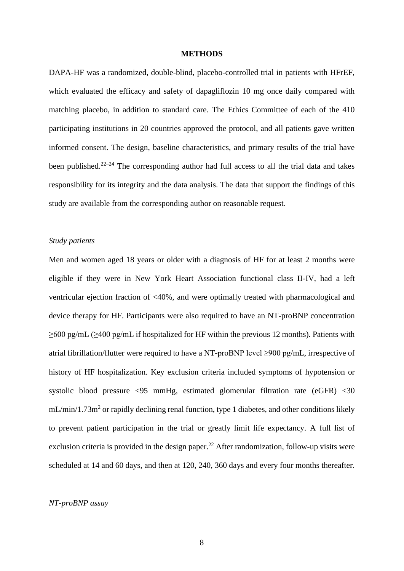#### **METHODS**

DAPA-HF was a randomized, double-blind, placebo-controlled trial in patients with HFrEF, which evaluated the efficacy and safety of dapagliflozin 10 mg once daily compared with matching placebo, in addition to standard care. The Ethics Committee of each of the 410 participating institutions in 20 countries approved the protocol, and all patients gave written informed consent. The design, baseline characteristics, and primary results of the trial have been published.<sup>22–24</sup> The corresponding author had full access to all the trial data and takes responsibility for its integrity and the data analysis. The data that support the findings of this study are available from the corresponding author on reasonable request.

#### *Study patients*

Men and women aged 18 years or older with a diagnosis of HF for at least 2 months were eligible if they were in New York Heart Association functional class II-IV, had a left ventricular ejection fraction of <40%, and were optimally treated with pharmacological and device therapy for HF. Participants were also required to have an NT-proBNP concentration ≥600 pg/mL (≥400 pg/mL if hospitalized for HF within the previous 12 months). Patients with atrial fibrillation/flutter were required to have a NT-proBNP level ≥900 pg/mL, irrespective of history of HF hospitalization. Key exclusion criteria included symptoms of hypotension or systolic blood pressure <95 mmHg, estimated glomerular filtration rate (eGFR) <30  $mL/min/1.73m<sup>2</sup>$  or rapidly declining renal function, type 1 diabetes, and other conditions likely to prevent patient participation in the trial or greatly limit life expectancy. A full list of exclusion criteria is provided in the design paper.<sup>22</sup> After randomization, follow-up visits were scheduled at 14 and 60 days, and then at 120, 240, 360 days and every four months thereafter.

#### *NT-proBNP assay*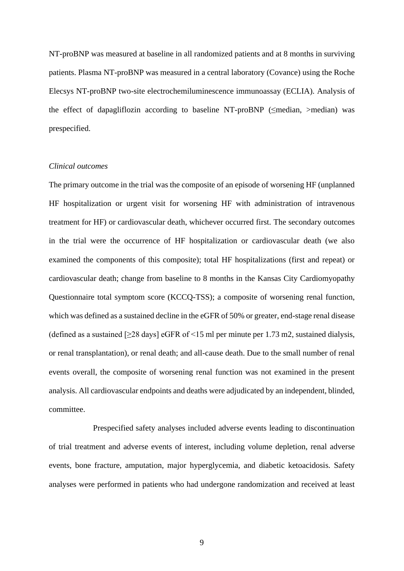NT-proBNP was measured at baseline in all randomized patients and at 8 months in surviving patients. Plasma NT-proBNP was measured in a central laboratory (Covance) using the Roche Elecsys NT-proBNP two-site electrochemiluminescence immunoassay (ECLIA). Analysis of the effect of dapagliflozin according to baseline NT-proBNP (≤median, >median) was prespecified.

#### *Clinical outcomes*

The primary outcome in the trial was the composite of an episode of worsening HF (unplanned HF hospitalization or urgent visit for worsening HF with administration of intravenous treatment for HF) or cardiovascular death, whichever occurred first. The secondary outcomes in the trial were the occurrence of HF hospitalization or cardiovascular death (we also examined the components of this composite); total HF hospitalizations (first and repeat) or cardiovascular death; change from baseline to 8 months in the Kansas City Cardiomyopathy Questionnaire total symptom score (KCCQ-TSS); a composite of worsening renal function, which was defined as a sustained decline in the eGFR of 50% or greater, end-stage renal disease (defined as a sustained  $[228 \text{ days}]$  eGFR of  $\leq 15$  ml per minute per 1.73 m2, sustained dialysis, or renal transplantation), or renal death; and all-cause death. Due to the small number of renal events overall, the composite of worsening renal function was not examined in the present analysis. All cardiovascular endpoints and deaths were adjudicated by an independent, blinded, committee.

Prespecified safety analyses included adverse events leading to discontinuation of trial treatment and adverse events of interest, including volume depletion, renal adverse events, bone fracture, amputation, major hyperglycemia, and diabetic ketoacidosis. Safety analyses were performed in patients who had undergone randomization and received at least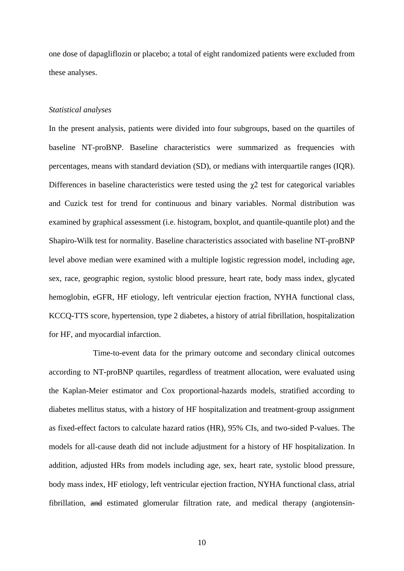one dose of dapagliflozin or placebo; a total of eight randomized patients were excluded from these analyses.

#### *Statistical analyses*

In the present analysis, patients were divided into four subgroups, based on the quartiles of baseline NT-proBNP. Baseline characteristics were summarized as frequencies with percentages, means with standard deviation (SD), or medians with interquartile ranges (IQR). Differences in baseline characteristics were tested using the  $\chi$ 2 test for categorical variables and Cuzick test for trend for continuous and binary variables. Normal distribution was examined by graphical assessment (i.e. histogram, boxplot, and quantile-quantile plot) and the Shapiro-Wilk test for normality. Baseline characteristics associated with baseline NT-proBNP level above median were examined with a multiple logistic regression model, including age, sex, race, geographic region, systolic blood pressure, heart rate, body mass index, glycated hemoglobin, eGFR, HF etiology, left ventricular ejection fraction, NYHA functional class, KCCQ-TTS score, hypertension, type 2 diabetes, a history of atrial fibrillation, hospitalization for HF, and myocardial infarction.

Time-to-event data for the primary outcome and secondary clinical outcomes according to NT-proBNP quartiles, regardless of treatment allocation, were evaluated using the Kaplan-Meier estimator and Cox proportional-hazards models, stratified according to diabetes mellitus status, with a history of HF hospitalization and treatment-group assignment as fixed-effect factors to calculate hazard ratios (HR), 95% CIs, and two-sided P-values. The models for all-cause death did not include adjustment for a history of HF hospitalization. In addition, adjusted HRs from models including age, sex, heart rate, systolic blood pressure, body mass index, HF etiology, left ventricular ejection fraction, NYHA functional class, atrial fibrillation, and estimated glomerular filtration rate, and medical therapy (angiotensin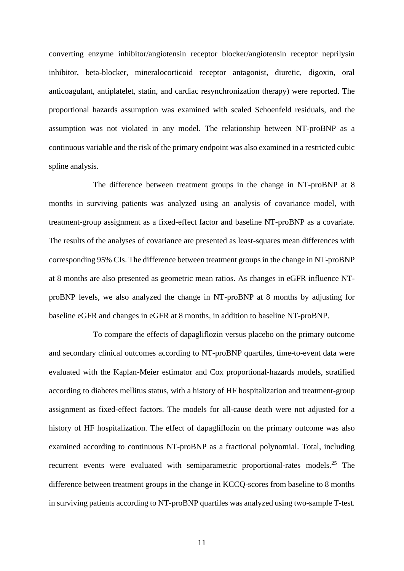converting enzyme inhibitor/angiotensin receptor blocker/angiotensin receptor neprilysin inhibitor, beta-blocker, mineralocorticoid receptor antagonist, diuretic, digoxin, oral anticoagulant, antiplatelet, statin, and cardiac resynchronization therapy) were reported. The proportional hazards assumption was examined with scaled Schoenfeld residuals, and the assumption was not violated in any model. The relationship between NT-proBNP as a continuous variable and the risk of the primary endpoint was also examined in a restricted cubic spline analysis.

The difference between treatment groups in the change in NT-proBNP at 8 months in surviving patients was analyzed using an analysis of covariance model, with treatment-group assignment as a fixed-effect factor and baseline NT-proBNP as a covariate. The results of the analyses of covariance are presented as least-squares mean differences with corresponding 95% CIs. The difference between treatment groups in the change in NT-proBNP at 8 months are also presented as geometric mean ratios. As changes in eGFR influence NTproBNP levels, we also analyzed the change in NT-proBNP at 8 months by adjusting for baseline eGFR and changes in eGFR at 8 months, in addition to baseline NT-proBNP.

To compare the effects of dapagliflozin versus placebo on the primary outcome and secondary clinical outcomes according to NT-proBNP quartiles, time-to-event data were evaluated with the Kaplan-Meier estimator and Cox proportional-hazards models, stratified according to diabetes mellitus status, with a history of HF hospitalization and treatment-group assignment as fixed-effect factors. The models for all-cause death were not adjusted for a history of HF hospitalization. The effect of dapagliflozin on the primary outcome was also examined according to continuous NT-proBNP as a fractional polynomial. Total, including recurrent events were evaluated with semiparametric proportional-rates models.<sup>25</sup> The difference between treatment groups in the change in KCCQ-scores from baseline to 8 months in surviving patients according to NT-proBNP quartiles was analyzed using two-sample T-test.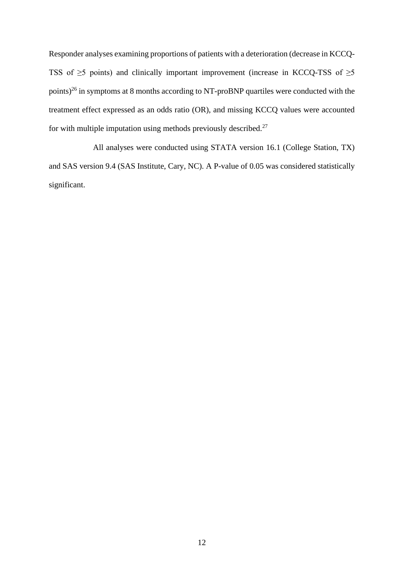Responder analyses examining proportions of patients with a deterioration (decrease in KCCQ-TSS of  $\geq$ 5 points) and clinically important improvement (increase in KCCQ-TSS of  $\geq$ 5 points)<sup>26</sup> in symptoms at 8 months according to NT-proBNP quartiles were conducted with the treatment effect expressed as an odds ratio (OR), and missing KCCQ values were accounted for with multiple imputation using methods previously described.<sup>27</sup>

All analyses were conducted using STATA version 16.1 (College Station, TX) and SAS version 9.4 (SAS Institute, Cary, NC). A P-value of 0.05 was considered statistically significant.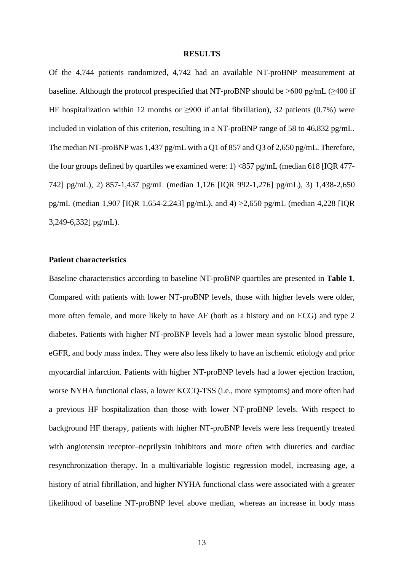#### **RESULTS**

Of the 4,744 patients randomized, 4,742 had an available NT-proBNP measurement at baseline. Although the protocol prespecified that NT-proBNP should be  $>600$  pg/mL ( $\geq 400$  if HF hospitalization within 12 months or  $\geq 900$  if atrial fibrillation), 32 patients (0.7%) were included in violation of this criterion, resulting in a NT-proBNP range of 58 to 46,832 pg/mL. The median NT-proBNP was 1,437 pg/mL with a Q1 of 857 and Q3 of 2,650 pg/mL. Therefore, the four groups defined by quartiles we examined were: 1) <857 pg/mL (median 618 [IQR 477- 742] pg/mL), 2) 857-1,437 pg/mL (median 1,126 [IQR 992-1,276] pg/mL), 3) 1,438-2,650 pg/mL (median 1,907 [IQR 1,654-2,243] pg/mL), and 4) >2,650 pg/mL (median 4,228 [IQR 3,249-6,332] pg/mL).

#### **Patient characteristics**

Baseline characteristics according to baseline NT-proBNP quartiles are presented in **Table 1**. Compared with patients with lower NT-proBNP levels, those with higher levels were older, more often female, and more likely to have AF (both as a history and on ECG) and type 2 diabetes. Patients with higher NT-proBNP levels had a lower mean systolic blood pressure, eGFR, and body mass index. They were also less likely to have an ischemic etiology and prior myocardial infarction. Patients with higher NT-proBNP levels had a lower ejection fraction, worse NYHA functional class, a lower KCCQ-TSS (i.e., more symptoms) and more often had a previous HF hospitalization than those with lower NT-proBNP levels. With respect to background HF therapy, patients with higher NT-proBNP levels were less frequently treated with angiotensin receptor–neprilysin inhibitors and more often with diuretics and cardiac resynchronization therapy. In a multivariable logistic regression model, increasing age, a history of atrial fibrillation, and higher NYHA functional class were associated with a greater likelihood of baseline NT-proBNP level above median, whereas an increase in body mass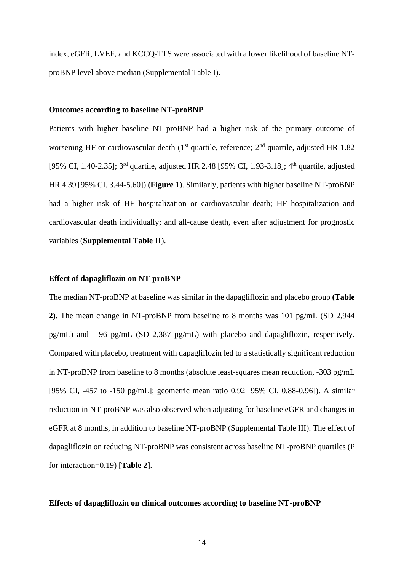index, eGFR, LVEF, and KCCQ-TTS were associated with a lower likelihood of baseline NTproBNP level above median (Supplemental Table I).

#### **Outcomes according to baseline NT-proBNP**

Patients with higher baseline NT-proBNP had a higher risk of the primary outcome of worsening HF or cardiovascular death ( $1<sup>st</sup>$  quartile, reference;  $2<sup>nd</sup>$  quartile, adjusted HR 1.82 [95% CI, 1.40-2.35]; 3<sup>rd</sup> quartile, adjusted HR 2.48 [95% CI, 1.93-3.18]; 4<sup>th</sup> quartile, adjusted HR 4.39 [95% CI, 3.44-5.60]) **(Figure 1**). Similarly, patients with higher baseline NT-proBNP had a higher risk of HF hospitalization or cardiovascular death; HF hospitalization and cardiovascular death individually; and all-cause death, even after adjustment for prognostic variables (**Supplemental Table II**).

#### **Effect of dapagliflozin on NT-proBNP**

The median NT-proBNP at baseline was similar in the dapagliflozin and placebo group **(Table 2)**. The mean change in NT-proBNP from baseline to 8 months was 101 pg/mL (SD 2,944 pg/mL) and -196 pg/mL (SD 2,387 pg/mL) with placebo and dapagliflozin, respectively. Compared with placebo, treatment with dapagliflozin led to a statistically significant reduction in NT-proBNP from baseline to 8 months (absolute least-squares mean reduction, -303 pg/mL [95% CI, -457 to -150 pg/mL]; geometric mean ratio 0.92 [95% CI, 0.88-0.96]). A similar reduction in NT-proBNP was also observed when adjusting for baseline eGFR and changes in eGFR at 8 months, in addition to baseline NT-proBNP (Supplemental Table III). The effect of dapagliflozin on reducing NT-proBNP was consistent across baseline NT-proBNP quartiles (P for interaction=0.19) **[Table 2]**.

#### **Effects of dapagliflozin on clinical outcomes according to baseline NT-proBNP**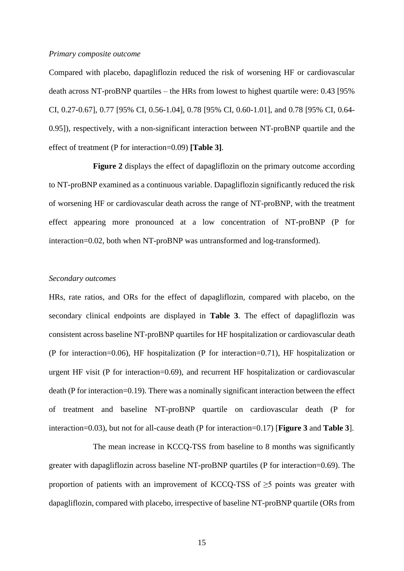#### *Primary composite outcome*

Compared with placebo, dapagliflozin reduced the risk of worsening HF or cardiovascular death across NT-proBNP quartiles – the HRs from lowest to highest quartile were: 0.43 [95% CI, 0.27-0.67], 0.77 [95% CI, 0.56-1.04], 0.78 [95% CI, 0.60-1.01], and 0.78 [95% CI, 0.64- 0.95]), respectively, with a non-significant interaction between NT-proBNP quartile and the effect of treatment (P for interaction=0.09) **[Table 3]**.

**Figure 2** displays the effect of dapagliflozin on the primary outcome according to NT-proBNP examined as a continuous variable. Dapagliflozin significantly reduced the risk of worsening HF or cardiovascular death across the range of NT-proBNP, with the treatment effect appearing more pronounced at a low concentration of NT-proBNP (P for interaction=0.02, both when NT-proBNP was untransformed and log-transformed).

#### *Secondary outcomes*

HRs, rate ratios, and ORs for the effect of dapagliflozin, compared with placebo, on the secondary clinical endpoints are displayed in **Table 3**. The effect of dapagliflozin was consistent across baseline NT-proBNP quartiles for HF hospitalization or cardiovascular death (P for interaction=0.06), HF hospitalization (P for interaction=0.71), HF hospitalization or urgent HF visit (P for interaction=0.69), and recurrent HF hospitalization or cardiovascular death (P for interaction=0.19). There was a nominally significant interaction between the effect of treatment and baseline NT-proBNP quartile on cardiovascular death (P for interaction=0.03), but not for all-cause death (P for interaction=0.17) [**Figure 3** and **Table 3**].

The mean increase in KCCQ-TSS from baseline to 8 months was significantly greater with dapagliflozin across baseline NT-proBNP quartiles (P for interaction=0.69). The proportion of patients with an improvement of KCCQ-TSS of  $\geq$ 5 points was greater with dapagliflozin, compared with placebo, irrespective of baseline NT-proBNP quartile (ORs from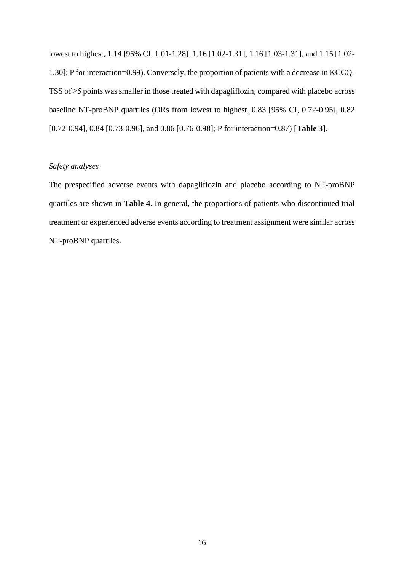lowest to highest, 1.14 [95% CI, 1.01-1.28], 1.16 [1.02-1.31], 1.16 [1.03-1.31], and 1.15 [1.02- 1.30]; P for interaction=0.99). Conversely, the proportion of patients with a decrease in KCCQ-TSS of ≥5 points was smaller in those treated with dapagliflozin, compared with placebo across baseline NT-proBNP quartiles (ORs from lowest to highest, 0.83 [95% CI, 0.72-0.95], 0.82 [0.72-0.94], 0.84 [0.73-0.96], and 0.86 [0.76-0.98]; P for interaction=0.87) [**Table 3**].

#### *Safety analyses*

The prespecified adverse events with dapagliflozin and placebo according to NT-proBNP quartiles are shown in **Table 4**. In general, the proportions of patients who discontinued trial treatment or experienced adverse events according to treatment assignment were similar across NT-proBNP quartiles.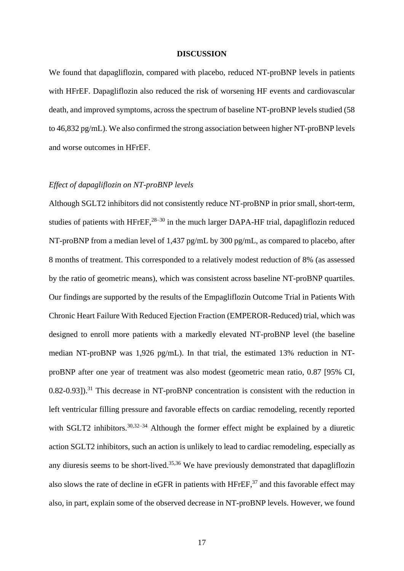#### **DISCUSSION**

We found that dapagliflozin, compared with placebo, reduced NT-proBNP levels in patients with HFrEF. Dapagliflozin also reduced the risk of worsening HF events and cardiovascular death, and improved symptoms, across the spectrum of baseline NT-proBNP levels studied (58 to 46,832 pg/mL). We also confirmed the strong association between higher NT-proBNP levels and worse outcomes in HFrEF.

#### *Effect of dapagliflozin on NT-proBNP levels*

Although SGLT2 inhibitors did not consistently reduce NT-proBNP in prior small, short-term, studies of patients with  $H$ FrEF,<sup>28–30</sup> in the much larger DAPA-HF trial, dapagliflozin reduced NT-proBNP from a median level of 1,437 pg/mL by 300 pg/mL, as compared to placebo, after 8 months of treatment. This corresponded to a relatively modest reduction of 8% (as assessed by the ratio of geometric means), which was consistent across baseline NT-proBNP quartiles. Our findings are supported by the results of the Empagliflozin Outcome Trial in Patients With Chronic Heart Failure With Reduced Ejection Fraction (EMPEROR-Reduced) trial, which was designed to enroll more patients with a markedly elevated NT-proBNP level (the baseline median NT-proBNP was 1,926 pg/mL). In that trial, the estimated 13% reduction in NTproBNP after one year of treatment was also modest (geometric mean ratio, 0.87 [95% CI, 0.82-0.93]).<sup>31</sup> This decrease in NT-proBNP concentration is consistent with the reduction in left ventricular filling pressure and favorable effects on cardiac remodeling, recently reported with SGLT2 inhibitors.<sup>30,32–34</sup> Although the former effect might be explained by a diuretic action SGLT2 inhibitors, such an action is unlikely to lead to cardiac remodeling, especially as any diuresis seems to be short-lived.<sup>35,36</sup> We have previously demonstrated that dapagliflozin also slows the rate of decline in eGFR in patients with HFrEF,  $37$  and this favorable effect may also, in part, explain some of the observed decrease in NT-proBNP levels. However, we found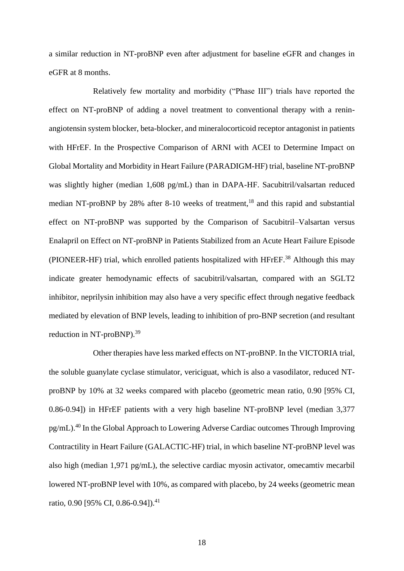a similar reduction in NT-proBNP even after adjustment for baseline eGFR and changes in eGFR at 8 months.

Relatively few mortality and morbidity ("Phase III") trials have reported the effect on NT-proBNP of adding a novel treatment to conventional therapy with a reninangiotensin system blocker, beta-blocker, and mineralocorticoid receptor antagonist in patients with HFrEF. In the Prospective Comparison of ARNI with ACEI to Determine Impact on Global Mortality and Morbidity in Heart Failure (PARADIGM-HF) trial, baseline NT-proBNP was slightly higher (median 1,608 pg/mL) than in DAPA-HF. Sacubitril/valsartan reduced median NT-proBNP by 28% after 8-10 weeks of treatment,<sup>18</sup> and this rapid and substantial effect on NT-proBNP was supported by the Comparison of Sacubitril–Valsartan versus Enalapril on Effect on NT-proBNP in Patients Stabilized from an Acute Heart Failure Episode (PIONEER-HF) trial, which enrolled patients hospitalized with HFrEF.<sup>38</sup> Although this may indicate greater hemodynamic effects of sacubitril/valsartan, compared with an SGLT2 inhibitor, neprilysin inhibition may also have a very specific effect through negative feedback mediated by elevation of BNP levels, leading to inhibition of pro-BNP secretion (and resultant reduction in NT-proBNP).<sup>39</sup>

Other therapies have less marked effects on NT-proBNP. In the VICTORIA trial, the soluble guanylate cyclase stimulator, vericiguat, which is also a vasodilator, reduced NTproBNP by 10% at 32 weeks compared with placebo (geometric mean ratio, 0.90 [95% CI, 0.86-0.94]) in HFrEF patients with a very high baseline NT-proBNP level (median 3,377 pg/mL).<sup>40</sup> In the Global Approach to Lowering Adverse Cardiac outcomes Through Improving Contractility in Heart Failure (GALACTIC-HF) trial, in which baseline NT-proBNP level was also high (median 1,971 pg/mL), the selective cardiac myosin activator, omecamtiv mecarbil lowered NT-proBNP level with 10%, as compared with placebo, by 24 weeks (geometric mean ratio, 0.90 [95% CI, 0.86-0.94]).<sup>41</sup>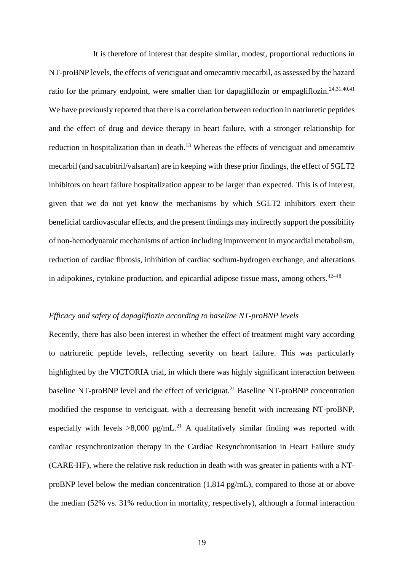It is therefore of interest that despite similar, modest, proportional reductions in NT-proBNP levels, the effects of vericiguat and omecamtiv mecarbil, as assessed by the hazard ratio for the primary endpoint, were smaller than for dapagliflozin or empagliflozin.<sup>24,31,40,41</sup> We have previously reported that there is a correlation between reduction in natriuretic peptides and the effect of drug and device therapy in heart failure, with a stronger relationship for reduction in hospitalization than in death.<sup>13</sup> Whereas the effects of vericiguat and omecamtiv mecarbil (and sacubitril/valsartan) are in keeping with these prior findings, the effect of SGLT2 inhibitors on heart failure hospitalization appear to be larger than expected. This is of interest, given that we do not yet know the mechanisms by which SGLT2 inhibitors exert their beneficial cardiovascular effects, and the present findings may indirectly support the possibility of non-hemodynamic mechanisms of action including improvement in myocardial metabolism, reduction of cardiac fibrosis, inhibition of cardiac sodium-hydrogen exchange, and alterations in adipokines, cytokine production, and epicardial adipose tissue mass, among others.  $42-48$ 

#### *Efficacy and safety of dapagliflozin according to baseline NT-proBNP levels*

Recently, there has also been interest in whether the effect of treatment might vary according to natriuretic peptide levels, reflecting severity on heart failure. This was particularly highlighted by the VICTORIA trial, in which there was highly significant interaction between baseline NT-proBNP level and the effect of vericiguat.<sup>21</sup> Baseline NT-proBNP concentration modified the response to vericiguat, with a decreasing benefit with increasing NT-proBNP, especially with levels  $>8,000$  pg/mL.<sup>21</sup> A qualitatively similar finding was reported with cardiac resynchronization therapy in the Cardiac Resynchronisation in Heart Failure study (CARE-HF), where the relative risk reduction in death with was greater in patients with a NTproBNP level below the median concentration (1,814 pg/mL), compared to those at or above the median (52% vs. 31% reduction in mortality, respectively), although a formal interaction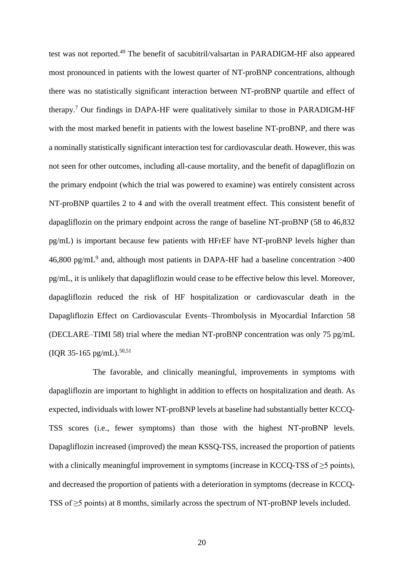test was not reported.<sup>49</sup> The benefit of sacubitril/valsartan in PARADIGM-HF also appeared most pronounced in patients with the lowest quarter of NT-proBNP concentrations, although there was no statistically significant interaction between NT-proBNP quartile and effect of therapy.<sup>7</sup> Our findings in DAPA-HF were qualitatively similar to those in PARADIGM-HF with the most marked benefit in patients with the lowest baseline NT-proBNP, and there was a nominally statistically significant interaction test for cardiovascular death. However, this was not seen for other outcomes, including all-cause mortality, and the benefit of dapagliflozin on the primary endpoint (which the trial was powered to examine) was entirely consistent across NT-proBNP quartiles 2 to 4 and with the overall treatment effect. This consistent benefit of dapagliflozin on the primary endpoint across the range of baseline NT-proBNP (58 to 46,832 pg/mL) is important because few patients with HFrEF have NT-proBNP levels higher than 46,800 pg/mL<sup>9</sup> and, although most patients in DAPA-HF had a baseline concentration >400 pg/mL, it is unlikely that dapagliflozin would cease to be effective below this level. Moreover, dapagliflozin reduced the risk of HF hospitalization or cardiovascular death in the Dapagliflozin Effect on Cardiovascular Events–Thrombolysis in Myocardial Infarction 58 (DECLARE–TIMI 58) trial where the median NT-proBNP concentration was only 75 pg/mL  $(IQR 35-165 pg/mL).$ <sup>50,51</sup>

The favorable, and clinically meaningful, improvements in symptoms with dapagliflozin are important to highlight in addition to effects on hospitalization and death. As expected, individuals with lower NT-proBNP levels at baseline had substantially better KCCQ-TSS scores (i.e., fewer symptoms) than those with the highest NT-proBNP levels. Dapagliflozin increased (improved) the mean KSSQ-TSS, increased the proportion of patients with a clinically meaningful improvement in symptoms (increase in KCCQ-TSS of  $\geq$ 5 points), and decreased the proportion of patients with a deterioration in symptoms (decrease in KCCQ-TSS of ≥5 points) at 8 months, similarly across the spectrum of NT-proBNP levels included.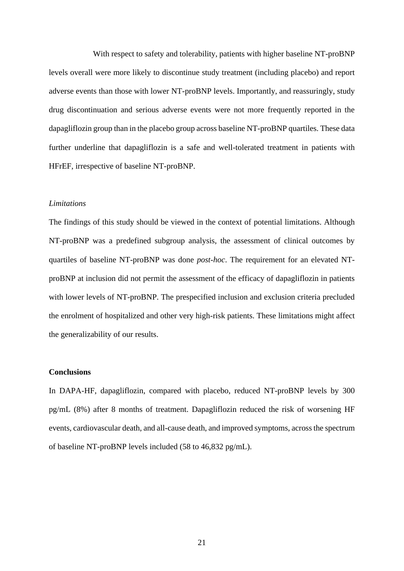With respect to safety and tolerability, patients with higher baseline NT-proBNP levels overall were more likely to discontinue study treatment (including placebo) and report adverse events than those with lower NT-proBNP levels. Importantly, and reassuringly, study drug discontinuation and serious adverse events were not more frequently reported in the dapagliflozin group than in the placebo group across baseline NT-proBNP quartiles. These data further underline that dapagliflozin is a safe and well-tolerated treatment in patients with HFrEF, irrespective of baseline NT-proBNP.

#### *Limitations*

The findings of this study should be viewed in the context of potential limitations. Although NT-proBNP was a predefined subgroup analysis, the assessment of clinical outcomes by quartiles of baseline NT-proBNP was done *post-hoc*. The requirement for an elevated NTproBNP at inclusion did not permit the assessment of the efficacy of dapagliflozin in patients with lower levels of NT-proBNP. The prespecified inclusion and exclusion criteria precluded the enrolment of hospitalized and other very high-risk patients. These limitations might affect the generalizability of our results.

#### **Conclusions**

In DAPA-HF, dapagliflozin, compared with placebo, reduced NT-proBNP levels by 300 pg/mL (8%) after 8 months of treatment. Dapagliflozin reduced the risk of worsening HF events, cardiovascular death, and all-cause death, and improved symptoms, across the spectrum of baseline NT-proBNP levels included (58 to 46,832 pg/mL).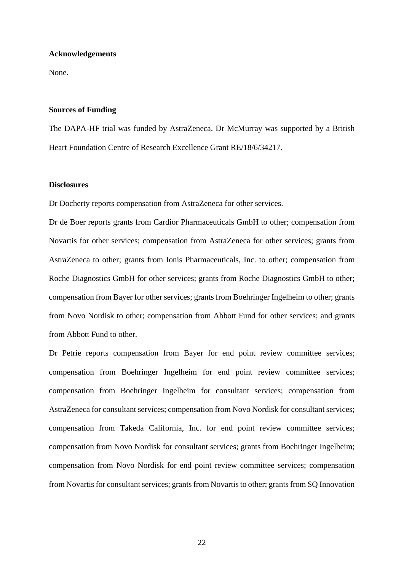#### **Acknowledgements**

None.

#### **Sources of Funding**

The DAPA-HF trial was funded by AstraZeneca. Dr McMurray was supported by a British Heart Foundation Centre of Research Excellence Grant RE/18/6/34217.

#### **Disclosures**

Dr Docherty reports compensation from AstraZeneca for other services.

Dr de Boer reports grants from Cardior Pharmaceuticals GmbH to other; compensation from Novartis for other services; compensation from AstraZeneca for other services; grants from AstraZeneca to other; grants from Ionis Pharmaceuticals, Inc. to other; compensation from Roche Diagnostics GmbH for other services; grants from Roche Diagnostics GmbH to other; compensation from Bayer for other services; grants from Boehringer Ingelheim to other; grants from Novo Nordisk to other; compensation from Abbott Fund for other services; and grants from Abbott Fund to other.

Dr Petrie reports compensation from Bayer for end point review committee services; compensation from Boehringer Ingelheim for end point review committee services; compensation from Boehringer Ingelheim for consultant services; compensation from AstraZeneca for consultant services; compensation from Novo Nordisk for consultant services; compensation from Takeda California, Inc. for end point review committee services; compensation from Novo Nordisk for consultant services; grants from Boehringer Ingelheim; compensation from Novo Nordisk for end point review committee services; compensation from Novartis for consultant services; grants from Novartis to other; grants from SQ Innovation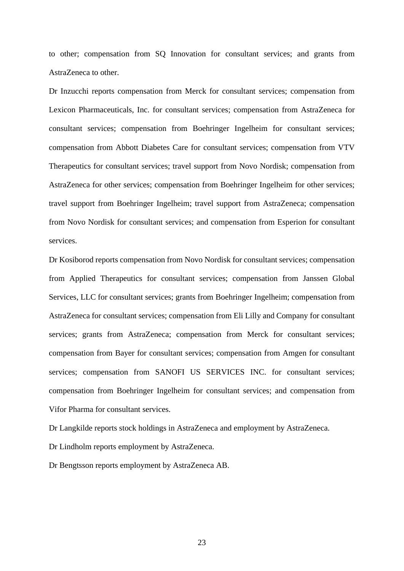to other; compensation from SQ Innovation for consultant services; and grants from AstraZeneca to other.

Dr Inzucchi reports compensation from Merck for consultant services; compensation from Lexicon Pharmaceuticals, Inc. for consultant services; compensation from AstraZeneca for consultant services; compensation from Boehringer Ingelheim for consultant services; compensation from Abbott Diabetes Care for consultant services; compensation from VTV Therapeutics for consultant services; travel support from Novo Nordisk; compensation from AstraZeneca for other services; compensation from Boehringer Ingelheim for other services; travel support from Boehringer Ingelheim; travel support from AstraZeneca; compensation from Novo Nordisk for consultant services; and compensation from Esperion for consultant services.

Dr Kosiborod reports compensation from Novo Nordisk for consultant services; compensation from Applied Therapeutics for consultant services; compensation from Janssen Global Services, LLC for consultant services; grants from Boehringer Ingelheim; compensation from AstraZeneca for consultant services; compensation from Eli Lilly and Company for consultant services; grants from AstraZeneca; compensation from Merck for consultant services; compensation from Bayer for consultant services; compensation from Amgen for consultant services; compensation from SANOFI US SERVICES INC. for consultant services; compensation from Boehringer Ingelheim for consultant services; and compensation from Vifor Pharma for consultant services.

Dr Langkilde reports stock holdings in AstraZeneca and employment by AstraZeneca.

Dr Lindholm reports employment by AstraZeneca.

Dr Bengtsson reports employment by AstraZeneca AB.

23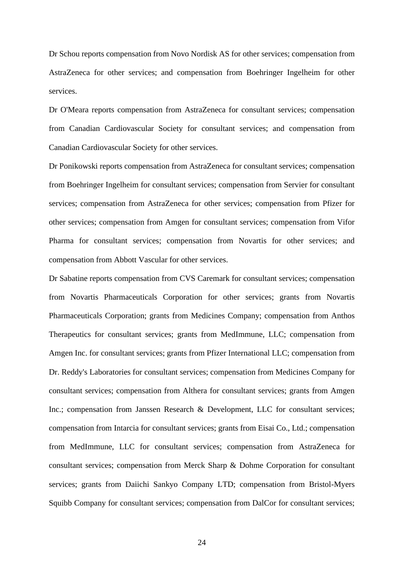Dr Schou reports compensation from Novo Nordisk AS for other services; compensation from AstraZeneca for other services; and compensation from Boehringer Ingelheim for other services.

Dr O'Meara reports compensation from AstraZeneca for consultant services; compensation from Canadian Cardiovascular Society for consultant services; and compensation from Canadian Cardiovascular Society for other services.

Dr Ponikowski reports compensation from AstraZeneca for consultant services; compensation from Boehringer Ingelheim for consultant services; compensation from Servier for consultant services; compensation from AstraZeneca for other services; compensation from Pfizer for other services; compensation from Amgen for consultant services; compensation from Vifor Pharma for consultant services; compensation from Novartis for other services; and compensation from Abbott Vascular for other services.

Dr Sabatine reports compensation from CVS Caremark for consultant services; compensation from Novartis Pharmaceuticals Corporation for other services; grants from Novartis Pharmaceuticals Corporation; grants from Medicines Company; compensation from Anthos Therapeutics for consultant services; grants from MedImmune, LLC; compensation from Amgen Inc. for consultant services; grants from Pfizer International LLC; compensation from Dr. Reddy's Laboratories for consultant services; compensation from Medicines Company for consultant services; compensation from Althera for consultant services; grants from Amgen Inc.; compensation from Janssen Research & Development, LLC for consultant services; compensation from Intarcia for consultant services; grants from Eisai Co., Ltd.; compensation from MedImmune, LLC for consultant services; compensation from AstraZeneca for consultant services; compensation from Merck Sharp & Dohme Corporation for consultant services; grants from Daiichi Sankyo Company LTD; compensation from Bristol-Myers Squibb Company for consultant services; compensation from DalCor for consultant services;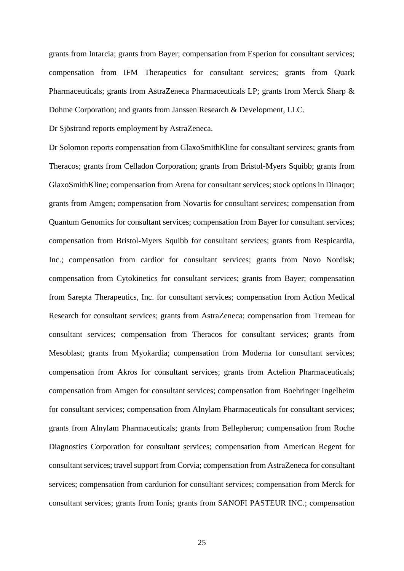grants from Intarcia; grants from Bayer; compensation from Esperion for consultant services; compensation from IFM Therapeutics for consultant services; grants from Quark Pharmaceuticals; grants from AstraZeneca Pharmaceuticals LP; grants from Merck Sharp & Dohme Corporation; and grants from Janssen Research & Development, LLC.

Dr Sjöstrand reports employment by AstraZeneca.

Dr Solomon reports compensation from GlaxoSmithKline for consultant services; grants from Theracos; grants from Celladon Corporation; grants from Bristol-Myers Squibb; grants from GlaxoSmithKline; compensation from Arena for consultant services; stock options in Dinaqor; grants from Amgen; compensation from Novartis for consultant services; compensation from Quantum Genomics for consultant services; compensation from Bayer for consultant services; compensation from Bristol-Myers Squibb for consultant services; grants from Respicardia, Inc.; compensation from cardior for consultant services; grants from Novo Nordisk; compensation from Cytokinetics for consultant services; grants from Bayer; compensation from Sarepta Therapeutics, Inc. for consultant services; compensation from Action Medical Research for consultant services; grants from AstraZeneca; compensation from Tremeau for consultant services; compensation from Theracos for consultant services; grants from Mesoblast; grants from Myokardia; compensation from Moderna for consultant services; compensation from Akros for consultant services; grants from Actelion Pharmaceuticals; compensation from Amgen for consultant services; compensation from Boehringer Ingelheim for consultant services; compensation from Alnylam Pharmaceuticals for consultant services; grants from Alnylam Pharmaceuticals; grants from Bellepheron; compensation from Roche Diagnostics Corporation for consultant services; compensation from American Regent for consultant services; travel support from Corvia; compensation from AstraZeneca for consultant services; compensation from cardurion for consultant services; compensation from Merck for consultant services; grants from Ionis; grants from SANOFI PASTEUR INC.; compensation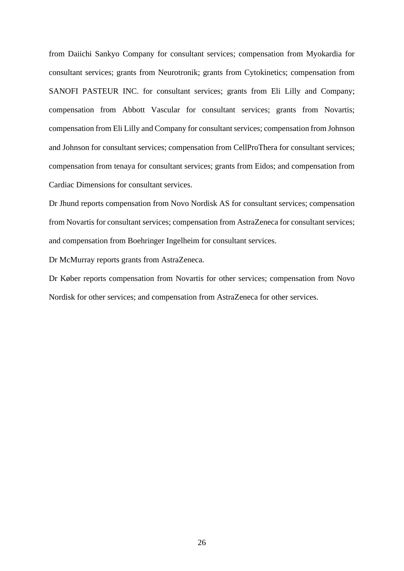from Daiichi Sankyo Company for consultant services; compensation from Myokardia for consultant services; grants from Neurotronik; grants from Cytokinetics; compensation from SANOFI PASTEUR INC. for consultant services; grants from Eli Lilly and Company; compensation from Abbott Vascular for consultant services; grants from Novartis; compensation from Eli Lilly and Company for consultant services; compensation from Johnson and Johnson for consultant services; compensation from CellProThera for consultant services; compensation from tenaya for consultant services; grants from Eidos; and compensation from Cardiac Dimensions for consultant services.

Dr Jhund reports compensation from Novo Nordisk AS for consultant services; compensation from Novartis for consultant services; compensation from AstraZeneca for consultant services; and compensation from Boehringer Ingelheim for consultant services.

Dr McMurray reports grants from AstraZeneca.

Dr Køber reports compensation from Novartis for other services; compensation from Novo Nordisk for other services; and compensation from AstraZeneca for other services.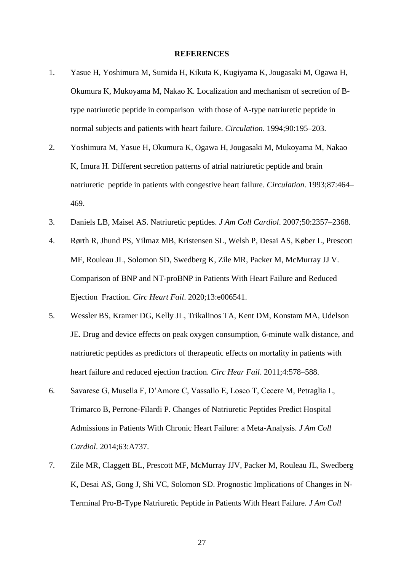#### **REFERENCES**

- 1. Yasue H, Yoshimura M, Sumida H, Kikuta K, Kugiyama K, Jougasaki M, Ogawa H, Okumura K, Mukoyama M, Nakao K. Localization and mechanism of secretion of Btype natriuretic peptide in comparison with those of A-type natriuretic peptide in normal subjects and patients with heart failure. *Circulation*. 1994;90:195–203.
- 2. Yoshimura M, Yasue H, Okumura K, Ogawa H, Jougasaki M, Mukoyama M, Nakao K, Imura H. Different secretion patterns of atrial natriuretic peptide and brain natriuretic peptide in patients with congestive heart failure. *Circulation*. 1993;87:464– 469.
- 3. Daniels LB, Maisel AS. Natriuretic peptides. *J Am Coll Cardiol*. 2007;50:2357–2368.
- 4. Rørth R, Jhund PS, Yilmaz MB, Kristensen SL, Welsh P, Desai AS, Køber L, Prescott MF, Rouleau JL, Solomon SD, Swedberg K, Zile MR, Packer M, McMurray JJ V. Comparison of BNP and NT-proBNP in Patients With Heart Failure and Reduced Ejection Fraction. *Circ Heart Fail*. 2020;13:e006541.
- 5. Wessler BS, Kramer DG, Kelly JL, Trikalinos TA, Kent DM, Konstam MA, Udelson JE. Drug and device effects on peak oxygen consumption, 6-minute walk distance, and natriuretic peptides as predictors of therapeutic effects on mortality in patients with heart failure and reduced ejection fraction. *Circ Hear Fail*. 2011;4:578–588.
- 6. Savarese G, Musella F, D'Amore C, Vassallo E, Losco T, Cecere M, Petraglia L, Trimarco B, Perrone-Filardi P. Changes of Natriuretic Peptides Predict Hospital Admissions in Patients With Chronic Heart Failure: a Meta-Analysis. *J Am Coll Cardiol*. 2014;63:A737.
- 7. Zile MR, Claggett BL, Prescott MF, McMurray JJV, Packer M, Rouleau JL, Swedberg K, Desai AS, Gong J, Shi VC, Solomon SD. Prognostic Implications of Changes in N-Terminal Pro-B-Type Natriuretic Peptide in Patients With Heart Failure. *J Am Coll*

27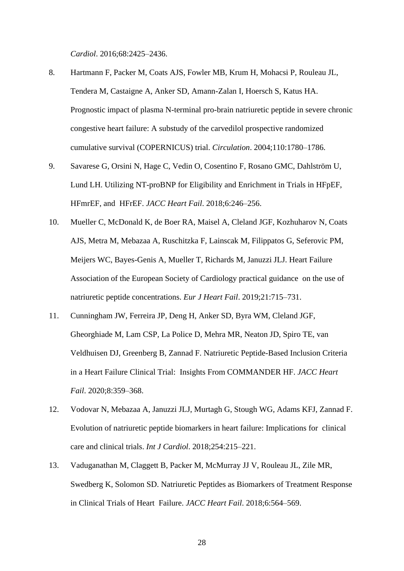*Cardiol*. 2016;68:2425–2436.

- 8. Hartmann F, Packer M, Coats AJS, Fowler MB, Krum H, Mohacsi P, Rouleau JL, Tendera M, Castaigne A, Anker SD, Amann-Zalan I, Hoersch S, Katus HA. Prognostic impact of plasma N-terminal pro-brain natriuretic peptide in severe chronic congestive heart failure: A substudy of the carvedilol prospective randomized cumulative survival (COPERNICUS) trial. *Circulation*. 2004;110:1780–1786.
- 9. Savarese G, Orsini N, Hage C, Vedin O, Cosentino F, Rosano GMC, Dahlström U, Lund LH. Utilizing NT-proBNP for Eligibility and Enrichment in Trials in HFpEF, HFmrEF, and HFrEF. *JACC Heart Fail*. 2018;6:246–256.
- 10. Mueller C, McDonald K, de Boer RA, Maisel A, Cleland JGF, Kozhuharov N, Coats AJS, Metra M, Mebazaa A, Ruschitzka F, Lainscak M, Filippatos G, Seferovic PM, Meijers WC, Bayes-Genis A, Mueller T, Richards M, Januzzi JLJ. Heart Failure Association of the European Society of Cardiology practical guidance on the use of natriuretic peptide concentrations. *Eur J Heart Fail*. 2019;21:715–731.
- 11. Cunningham JW, Ferreira JP, Deng H, Anker SD, Byra WM, Cleland JGF, Gheorghiade M, Lam CSP, La Police D, Mehra MR, Neaton JD, Spiro TE, van Veldhuisen DJ, Greenberg B, Zannad F. Natriuretic Peptide-Based Inclusion Criteria in a Heart Failure Clinical Trial: Insights From COMMANDER HF. *JACC Heart Fail*. 2020;8:359–368.
- 12. Vodovar N, Mebazaa A, Januzzi JLJ, Murtagh G, Stough WG, Adams KFJ, Zannad F. Evolution of natriuretic peptide biomarkers in heart failure: Implications for clinical care and clinical trials. *Int J Cardiol*. 2018;254:215–221.
- 13. Vaduganathan M, Claggett B, Packer M, McMurray JJ V, Rouleau JL, Zile MR, Swedberg K, Solomon SD. Natriuretic Peptides as Biomarkers of Treatment Response in Clinical Trials of Heart Failure. *JACC Heart Fail*. 2018;6:564–569.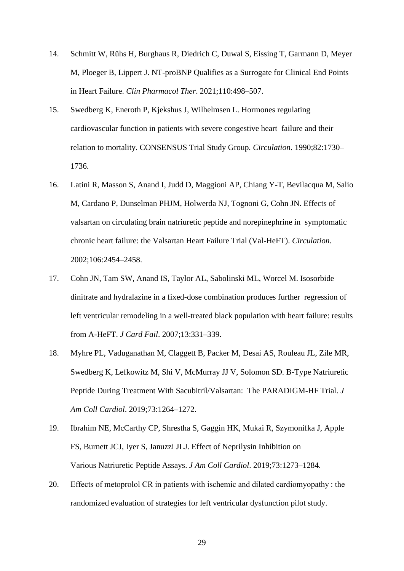- 14. Schmitt W, Rühs H, Burghaus R, Diedrich C, Duwal S, Eissing T, Garmann D, Meyer M, Ploeger B, Lippert J. NT-proBNP Qualifies as a Surrogate for Clinical End Points in Heart Failure. *Clin Pharmacol Ther*. 2021;110:498–507.
- 15. Swedberg K, Eneroth P, Kjekshus J, Wilhelmsen L. Hormones regulating cardiovascular function in patients with severe congestive heart failure and their relation to mortality. CONSENSUS Trial Study Group. *Circulation*. 1990;82:1730– 1736.
- 16. Latini R, Masson S, Anand I, Judd D, Maggioni AP, Chiang Y-T, Bevilacqua M, Salio M, Cardano P, Dunselman PHJM, Holwerda NJ, Tognoni G, Cohn JN. Effects of valsartan on circulating brain natriuretic peptide and norepinephrine in symptomatic chronic heart failure: the Valsartan Heart Failure Trial (Val-HeFT). *Circulation*. 2002;106:2454–2458.
- 17. Cohn JN, Tam SW, Anand IS, Taylor AL, Sabolinski ML, Worcel M. Isosorbide dinitrate and hydralazine in a fixed-dose combination produces further regression of left ventricular remodeling in a well-treated black population with heart failure: results from A-HeFT. *J Card Fail*. 2007;13:331–339.
- 18. Myhre PL, Vaduganathan M, Claggett B, Packer M, Desai AS, Rouleau JL, Zile MR, Swedberg K, Lefkowitz M, Shi V, McMurray JJ V, Solomon SD. B-Type Natriuretic Peptide During Treatment With Sacubitril/Valsartan: The PARADIGM-HF Trial. *J Am Coll Cardiol*. 2019;73:1264–1272.
- 19. Ibrahim NE, McCarthy CP, Shrestha S, Gaggin HK, Mukai R, Szymonifka J, Apple FS, Burnett JCJ, Iyer S, Januzzi JLJ. Effect of Neprilysin Inhibition on Various Natriuretic Peptide Assays. *J Am Coll Cardiol*. 2019;73:1273–1284.
- 20. Effects of metoprolol CR in patients with ischemic and dilated cardiomyopathy : the randomized evaluation of strategies for left ventricular dysfunction pilot study.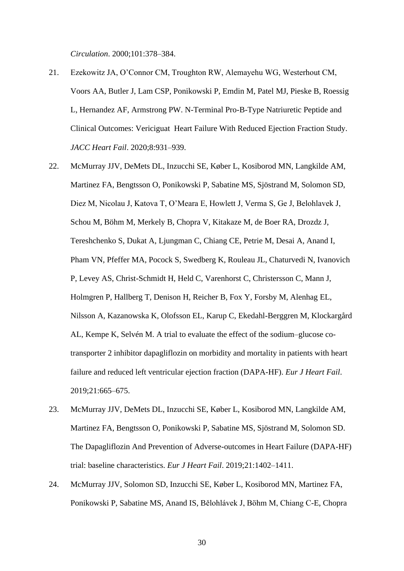*Circulation*. 2000;101:378–384.

- 21. Ezekowitz JA, O'Connor CM, Troughton RW, Alemayehu WG, Westerhout CM, Voors AA, Butler J, Lam CSP, Ponikowski P, Emdin M, Patel MJ, Pieske B, Roessig L, Hernandez AF, Armstrong PW. N-Terminal Pro-B-Type Natriuretic Peptide and Clinical Outcomes: Vericiguat Heart Failure With Reduced Ejection Fraction Study. *JACC Heart Fail*. 2020;8:931–939.
- 22. McMurray JJV, DeMets DL, Inzucchi SE, Køber L, Kosiborod MN, Langkilde AM, Martinez FA, Bengtsson O, Ponikowski P, Sabatine MS, Sjöstrand M, Solomon SD, Diez M, Nicolau J, Katova T, O'Meara E, Howlett J, Verma S, Ge J, Belohlavek J, Schou M, Böhm M, Merkely B, Chopra V, Kitakaze M, de Boer RA, Drozdz J, Tereshchenko S, Dukat A, Ljungman C, Chiang CE, Petrie M, Desai A, Anand I, Pham VN, Pfeffer MA, Pocock S, Swedberg K, Rouleau JL, Chaturvedi N, Ivanovich P, Levey AS, Christ-Schmidt H, Held C, Varenhorst C, Christersson C, Mann J, Holmgren P, Hallberg T, Denison H, Reicher B, Fox Y, Forsby M, Alenhag EL, Nilsson A, Kazanowska K, Olofsson EL, Karup C, Ekedahl-Berggren M, Klockargård AL, Kempe K, Selvén M. A trial to evaluate the effect of the sodium–glucose cotransporter 2 inhibitor dapagliflozin on morbidity and mortality in patients with heart failure and reduced left ventricular ejection fraction (DAPA-HF). *Eur J Heart Fail*. 2019;21:665–675.
- 23. McMurray JJV, DeMets DL, Inzucchi SE, Køber L, Kosiborod MN, Langkilde AM, Martinez FA, Bengtsson O, Ponikowski P, Sabatine MS, Sjöstrand M, Solomon SD. The Dapagliflozin And Prevention of Adverse-outcomes in Heart Failure (DAPA-HF) trial: baseline characteristics. *Eur J Heart Fail*. 2019;21:1402–1411.
- 24. McMurray JJV, Solomon SD, Inzucchi SE, Køber L, Kosiborod MN, Martinez FA, Ponikowski P, Sabatine MS, Anand IS, Bělohlávek J, Böhm M, Chiang C-E, Chopra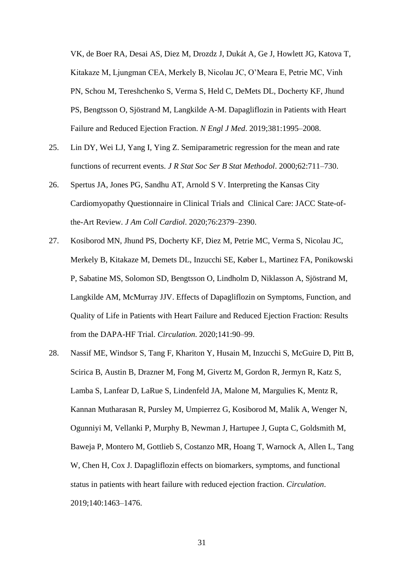VK, de Boer RA, Desai AS, Diez M, Drozdz J, Dukát A, Ge J, Howlett JG, Katova T, Kitakaze M, Ljungman CEA, Merkely B, Nicolau JC, O'Meara E, Petrie MC, Vinh PN, Schou M, Tereshchenko S, Verma S, Held C, DeMets DL, Docherty KF, Jhund PS, Bengtsson O, Sjöstrand M, Langkilde A-M. Dapagliflozin in Patients with Heart Failure and Reduced Ejection Fraction. *N Engl J Med*. 2019;381:1995–2008.

- 25. Lin DY, Wei LJ, Yang I, Ying Z. Semiparametric regression for the mean and rate functions of recurrent events. *J R Stat Soc Ser B Stat Methodol*. 2000;62:711–730.
- 26. Spertus JA, Jones PG, Sandhu AT, Arnold S V. Interpreting the Kansas City Cardiomyopathy Questionnaire in Clinical Trials and Clinical Care: JACC State-ofthe-Art Review. *J Am Coll Cardiol*. 2020;76:2379–2390.
- 27. Kosiborod MN, Jhund PS, Docherty KF, Diez M, Petrie MC, Verma S, Nicolau JC, Merkely B, Kitakaze M, Demets DL, Inzucchi SE, Køber L, Martinez FA, Ponikowski P, Sabatine MS, Solomon SD, Bengtsson O, Lindholm D, Niklasson A, Sjöstrand M, Langkilde AM, McMurray JJV. Effects of Dapagliflozin on Symptoms, Function, and Quality of Life in Patients with Heart Failure and Reduced Ejection Fraction: Results from the DAPA-HF Trial. *Circulation*. 2020;141:90–99.
- 28. Nassif ME, Windsor S, Tang F, Khariton Y, Husain M, Inzucchi S, McGuire D, Pitt B, Scirica B, Austin B, Drazner M, Fong M, Givertz M, Gordon R, Jermyn R, Katz S, Lamba S, Lanfear D, LaRue S, Lindenfeld JA, Malone M, Margulies K, Mentz R, Kannan Mutharasan R, Pursley M, Umpierrez G, Kosiborod M, Malik A, Wenger N, Ogunniyi M, Vellanki P, Murphy B, Newman J, Hartupee J, Gupta C, Goldsmith M, Baweja P, Montero M, Gottlieb S, Costanzo MR, Hoang T, Warnock A, Allen L, Tang W, Chen H, Cox J. Dapagliflozin effects on biomarkers, symptoms, and functional status in patients with heart failure with reduced ejection fraction. *Circulation*. 2019;140:1463–1476.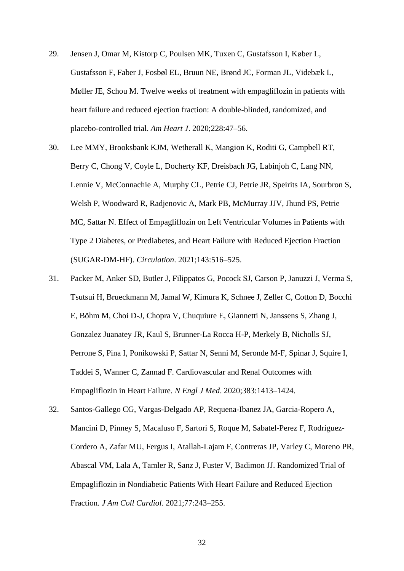- 29. Jensen J, Omar M, Kistorp C, Poulsen MK, Tuxen C, Gustafsson I, Køber L, Gustafsson F, Faber J, Fosbøl EL, Bruun NE, Brønd JC, Forman JL, Videbæk L, Møller JE, Schou M. Twelve weeks of treatment with empagliflozin in patients with heart failure and reduced ejection fraction: A double-blinded, randomized, and placebo-controlled trial. *Am Heart J*. 2020;228:47–56.
- 30. Lee MMY, Brooksbank KJM, Wetherall K, Mangion K, Roditi G, Campbell RT, Berry C, Chong V, Coyle L, Docherty KF, Dreisbach JG, Labinjoh C, Lang NN, Lennie V, McConnachie A, Murphy CL, Petrie CJ, Petrie JR, Speirits IA, Sourbron S, Welsh P, Woodward R, Radjenovic A, Mark PB, McMurray JJV, Jhund PS, Petrie MC, Sattar N. Effect of Empagliflozin on Left Ventricular Volumes in Patients with Type 2 Diabetes, or Prediabetes, and Heart Failure with Reduced Ejection Fraction (SUGAR-DM-HF). *Circulation*. 2021;143:516–525.
- 31. Packer M, Anker SD, Butler J, Filippatos G, Pocock SJ, Carson P, Januzzi J, Verma S, Tsutsui H, Brueckmann M, Jamal W, Kimura K, Schnee J, Zeller C, Cotton D, Bocchi E, Böhm M, Choi D-J, Chopra V, Chuquiure E, Giannetti N, Janssens S, Zhang J, Gonzalez Juanatey JR, Kaul S, Brunner-La Rocca H-P, Merkely B, Nicholls SJ, Perrone S, Pina I, Ponikowski P, Sattar N, Senni M, Seronde M-F, Spinar J, Squire I, Taddei S, Wanner C, Zannad F. Cardiovascular and Renal Outcomes with Empagliflozin in Heart Failure. *N Engl J Med*. 2020;383:1413–1424.
- 32. Santos-Gallego CG, Vargas-Delgado AP, Requena-Ibanez JA, Garcia-Ropero A, Mancini D, Pinney S, Macaluso F, Sartori S, Roque M, Sabatel-Perez F, Rodriguez-Cordero A, Zafar MU, Fergus I, Atallah-Lajam F, Contreras JP, Varley C, Moreno PR, Abascal VM, Lala A, Tamler R, Sanz J, Fuster V, Badimon JJ. Randomized Trial of Empagliflozin in Nondiabetic Patients With Heart Failure and Reduced Ejection Fraction. *J Am Coll Cardiol*. 2021;77:243–255.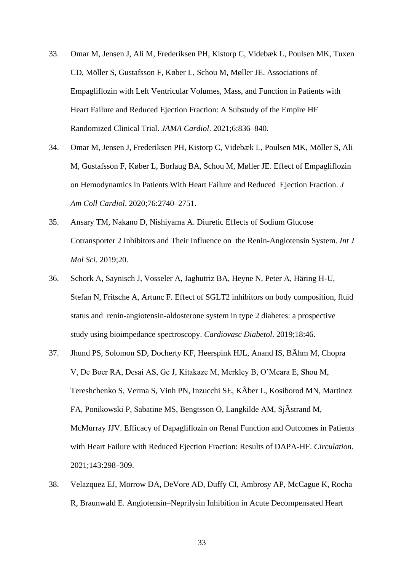- 33. Omar M, Jensen J, Ali M, Frederiksen PH, Kistorp C, Videbæk L, Poulsen MK, Tuxen CD, Möller S, Gustafsson F, Køber L, Schou M, Møller JE. Associations of Empagliflozin with Left Ventricular Volumes, Mass, and Function in Patients with Heart Failure and Reduced Ejection Fraction: A Substudy of the Empire HF Randomized Clinical Trial. *JAMA Cardiol*. 2021;6:836–840.
- 34. Omar M, Jensen J, Frederiksen PH, Kistorp C, Videbæk L, Poulsen MK, Möller S, Ali M, Gustafsson F, Køber L, Borlaug BA, Schou M, Møller JE. Effect of Empagliflozin on Hemodynamics in Patients With Heart Failure and Reduced Ejection Fraction. *J Am Coll Cardiol*. 2020;76:2740–2751.
- 35. Ansary TM, Nakano D, Nishiyama A. Diuretic Effects of Sodium Glucose Cotransporter 2 Inhibitors and Their Influence on the Renin-Angiotensin System. *Int J Mol Sci*. 2019;20.
- 36. Schork A, Saynisch J, Vosseler A, Jaghutriz BA, Heyne N, Peter A, Häring H-U, Stefan N, Fritsche A, Artunc F. Effect of SGLT2 inhibitors on body composition, fluid status and renin-angiotensin-aldosterone system in type 2 diabetes: a prospective study using bioimpedance spectroscopy. *Cardiovasc Diabetol*. 2019;18:46.
- 37. Jhund PS, Solomon SD, Docherty KF, Heerspink HJL, Anand IS, BÃhm M, Chopra V, De Boer RA, Desai AS, Ge J, Kitakaze M, Merkley B, O'Meara E, Shou M, Tereshchenko S, Verma S, Vinh PN, Inzucchi SE, KÃber L, Kosiborod MN, Martinez FA, Ponikowski P, Sabatine MS, Bengtsson O, Langkilde AM, SjÃstrand M, McMurray JJV. Efficacy of Dapagliflozin on Renal Function and Outcomes in Patients with Heart Failure with Reduced Ejection Fraction: Results of DAPA-HF. *Circulation*. 2021;143:298–309.
- 38. Velazquez EJ, Morrow DA, DeVore AD, Duffy CI, Ambrosy AP, McCague K, Rocha R, Braunwald E. Angiotensin–Neprilysin Inhibition in Acute Decompensated Heart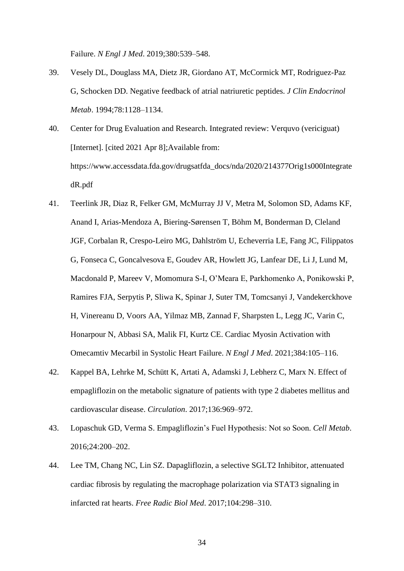Failure. *N Engl J Med*. 2019;380:539–548.

- 39. Vesely DL, Douglass MA, Dietz JR, Giordano AT, McCormick MT, Rodriguez-Paz G, Schocken DD. Negative feedback of atrial natriuretic peptides. *J Clin Endocrinol Metab*. 1994;78:1128–1134.
- 40. Center for Drug Evaluation and Research. Integrated review: Verquvo (vericiguat) [Internet]. [cited 2021 Apr 8];Available from: https://www.accessdata.fda.gov/drugsatfda\_docs/nda/2020/214377Orig1s000Integrate dR.pdf
- 41. Teerlink JR, Diaz R, Felker GM, McMurray JJ V, Metra M, Solomon SD, Adams KF, Anand I, Arias-Mendoza A, Biering-Sørensen T, Böhm M, Bonderman D, Cleland JGF, Corbalan R, Crespo-Leiro MG, Dahlström U, Echeverria LE, Fang JC, Filippatos G, Fonseca C, Goncalvesova E, Goudev AR, Howlett JG, Lanfear DE, Li J, Lund M, Macdonald P, Mareev V, Momomura S-I, O'Meara E, Parkhomenko A, Ponikowski P, Ramires FJA, Serpytis P, Sliwa K, Spinar J, Suter TM, Tomcsanyi J, Vandekerckhove H, Vinereanu D, Voors AA, Yilmaz MB, Zannad F, Sharpsten L, Legg JC, Varin C, Honarpour N, Abbasi SA, Malik FI, Kurtz CE. Cardiac Myosin Activation with Omecamtiv Mecarbil in Systolic Heart Failure. *N Engl J Med*. 2021;384:105–116.
- 42. Kappel BA, Lehrke M, Schütt K, Artati A, Adamski J, Lebherz C, Marx N. Effect of empagliflozin on the metabolic signature of patients with type 2 diabetes mellitus and cardiovascular disease. *Circulation*. 2017;136:969–972.
- 43. Lopaschuk GD, Verma S. Empagliflozin's Fuel Hypothesis: Not so Soon. *Cell Metab*. 2016;24:200–202.
- 44. Lee TM, Chang NC, Lin SZ. Dapagliflozin, a selective SGLT2 Inhibitor, attenuated cardiac fibrosis by regulating the macrophage polarization via STAT3 signaling in infarcted rat hearts. *Free Radic Biol Med*. 2017;104:298–310.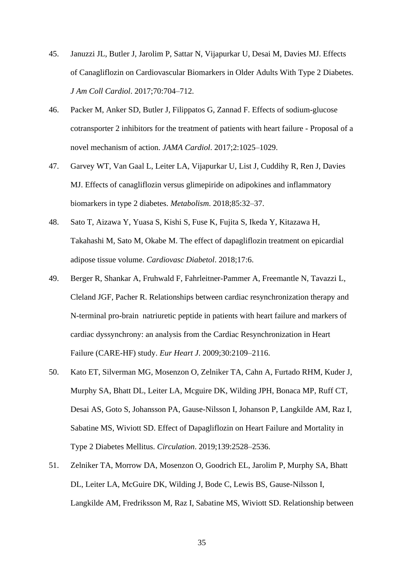- 45. Januzzi JL, Butler J, Jarolim P, Sattar N, Vijapurkar U, Desai M, Davies MJ. Effects of Canagliflozin on Cardiovascular Biomarkers in Older Adults With Type 2 Diabetes. *J Am Coll Cardiol*. 2017;70:704–712.
- 46. Packer M, Anker SD, Butler J, Filippatos G, Zannad F. Effects of sodium-glucose cotransporter 2 inhibitors for the treatment of patients with heart failure - Proposal of a novel mechanism of action. *JAMA Cardiol*. 2017;2:1025–1029.
- 47. Garvey WT, Van Gaal L, Leiter LA, Vijapurkar U, List J, Cuddihy R, Ren J, Davies MJ. Effects of canagliflozin versus glimepiride on adipokines and inflammatory biomarkers in type 2 diabetes. *Metabolism*. 2018;85:32–37.
- 48. Sato T, Aizawa Y, Yuasa S, Kishi S, Fuse K, Fujita S, Ikeda Y, Kitazawa H, Takahashi M, Sato M, Okabe M. The effect of dapagliflozin treatment on epicardial adipose tissue volume. *Cardiovasc Diabetol*. 2018;17:6.
- 49. Berger R, Shankar A, Fruhwald F, Fahrleitner-Pammer A, Freemantle N, Tavazzi L, Cleland JGF, Pacher R. Relationships between cardiac resynchronization therapy and N-terminal pro-brain natriuretic peptide in patients with heart failure and markers of cardiac dyssynchrony: an analysis from the Cardiac Resynchronization in Heart Failure (CARE-HF) study. *Eur Heart J*. 2009;30:2109–2116.
- 50. Kato ET, Silverman MG, Mosenzon O, Zelniker TA, Cahn A, Furtado RHM, Kuder J, Murphy SA, Bhatt DL, Leiter LA, Mcguire DK, Wilding JPH, Bonaca MP, Ruff CT, Desai AS, Goto S, Johansson PA, Gause-Nilsson I, Johanson P, Langkilde AM, Raz I, Sabatine MS, Wiviott SD. Effect of Dapagliflozin on Heart Failure and Mortality in Type 2 Diabetes Mellitus. *Circulation*. 2019;139:2528–2536.
- 51. Zelniker TA, Morrow DA, Mosenzon O, Goodrich EL, Jarolim P, Murphy SA, Bhatt DL, Leiter LA, McGuire DK, Wilding J, Bode C, Lewis BS, Gause-Nilsson I, Langkilde AM, Fredriksson M, Raz I, Sabatine MS, Wiviott SD. Relationship between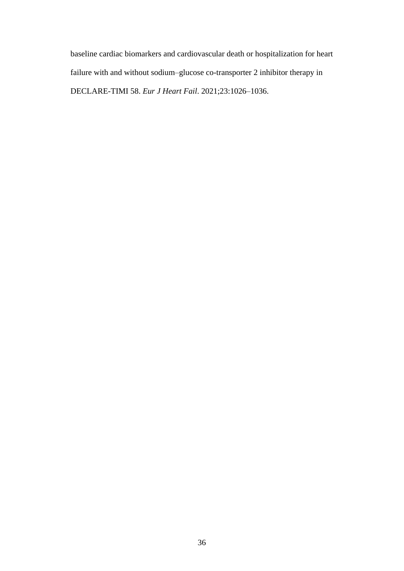baseline cardiac biomarkers and cardiovascular death or hospitalization for heart failure with and without sodium–glucose co-transporter 2 inhibitor therapy in DECLARE-TIMI 58. *Eur J Heart Fail*. 2021;23:1026–1036.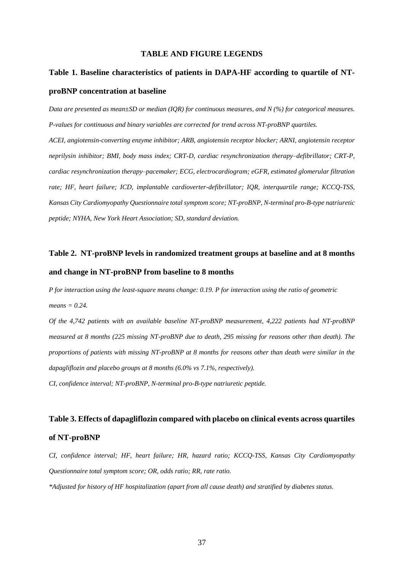#### **TABLE AND FIGURE LEGENDS**

## **Table 1. Baseline characteristics of patients in DAPA-HF according to quartile of NTproBNP concentration at baseline**

*Data are presented as mean±SD or median (IQR) for continuous measures, and N (%) for categorical measures. P-values for continuous and binary variables are corrected for trend across NT-proBNP quartiles. ACEI, angiotensin-converting enzyme inhibitor; ARB, angiotensin receptor blocker; ARNI, angiotensin receptor neprilysin inhibitor; BMI, body mass index; CRT-D, cardiac resynchronization therapy–defibrillator; CRT-P, cardiac resynchronization therapy–pacemaker; ECG, electrocardiogram; eGFR, estimated glomerular filtration rate; HF, heart failure; ICD, implantable cardioverter-defibrillator; IQR, interquartile range; KCCQ-TSS, Kansas City Cardiomyopathy Questionnaire total symptom score; NT-proBNP, N-terminal pro-B-type natriuretic peptide; NYHA, New York Heart Association; SD, standard deviation.*

### **Table 2. NT-proBNP levels in randomized treatment groups at baseline and at 8 months and change in NT-proBNP from baseline to 8 months**

*P for interaction using the least-square means change: 0.19. P for interaction using the ratio of geometric means = 0.24.*

*Of the 4,742 patients with an available baseline NT-proBNP measurement, 4,222 patients had NT-proBNP measured at 8 months (225 missing NT-proBNP due to death, 295 missing for reasons other than death). The proportions of patients with missing NT-proBNP at 8 months for reasons other than death were similar in the dapagliflozin and placebo groups at 8 months (6.0% vs 7.1%, respectively).*

*CI, confidence interval; NT-proBNP, N-terminal pro-B-type natriuretic peptide.*

## **Table 3. Effects of dapagliflozin compared with placebo on clinical events across quartiles of NT-proBNP**

*CI, confidence interval; HF, heart failure; HR, hazard ratio; KCCQ-TSS, Kansas City Cardiomyopathy Questionnaire total symptom score; OR, odds ratio; RR, rate ratio.*

*\*Adjusted for history of HF hospitalization (apart from all cause death) and stratified by diabetes status.*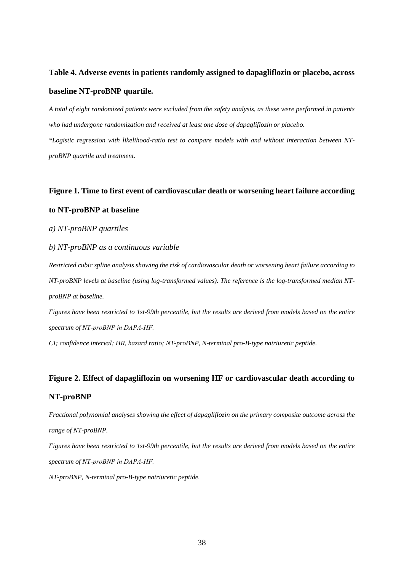## **Table 4. Adverse events in patients randomly assigned to dapagliflozin or placebo, across baseline NT-proBNP quartile.**

*A total of eight randomized patients were excluded from the safety analysis, as these were performed in patients who had undergone randomization and received at least one dose of dapagliflozin or placebo. \*Logistic regression with likelihood-ratio test to compare models with and without interaction between NTproBNP quartile and treatment.*

# **Figure 1. Time to first event of cardiovascular death or worsening heart failure according to NT-proBNP at baseline**

#### *a) NT-proBNP quartiles*

#### *b) NT-proBNP as a continuous variable*

*Restricted cubic spline analysis showing the risk of cardiovascular death or worsening heart failure according to NT-proBNP levels at baseline (using log-transformed values). The reference is the log-transformed median NTproBNP at baseline.*

*Figures have been restricted to 1st-99th percentile, but the results are derived from models based on the entire spectrum of NT-proBNP in DAPA‐HF.*

*CI; confidence interval; HR, hazard ratio; NT-proBNP, N-terminal pro-B-type natriuretic peptide.*

## **Figure 2. Effect of dapagliflozin on worsening HF or cardiovascular death according to NT-proBNP**

*Fractional polynomial analyses showing the effect of dapagliflozin on the primary composite outcome across the range of NT-proBNP.*

*Figures have been restricted to 1st-99th percentile, but the results are derived from models based on the entire spectrum of NT-proBNP in DAPA‐HF.*

*NT-proBNP, N-terminal pro-B-type natriuretic peptide.*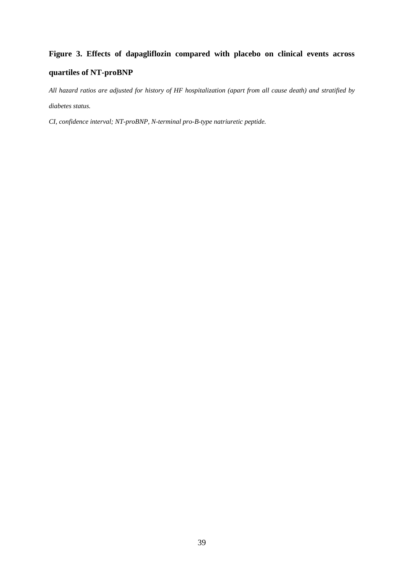# **Figure 3. Effects of dapagliflozin compared with placebo on clinical events across quartiles of NT-proBNP**

*All hazard ratios are adjusted for history of HF hospitalization (apart from all cause death) and stratified by diabetes status.*

*CI, confidence interval; NT-proBNP, N-terminal pro-B-type natriuretic peptide.*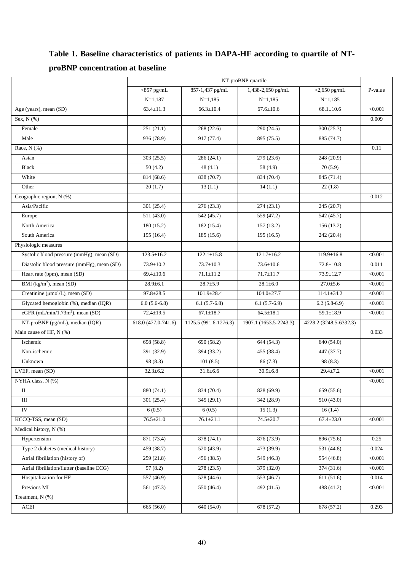### **Table 1. Baseline characteristics of patients in DAPA-HF according to quartile of NTproBNP concentration at baseline**

|                                              |                     |                       | NT-proBNP quartile     |                        |         |
|----------------------------------------------|---------------------|-----------------------|------------------------|------------------------|---------|
|                                              | $<$ 857 pg/mL       | 857-1,437 pg/mL       | 1,438-2,650 pg/mL      | $>2,650$ pg/mL         | P-value |
|                                              | $N=1,187$           | $N=1,185$             | $N=1,185$              | $N=1,185$              |         |
| Age (years), mean (SD)                       | $63.4 \pm 11.3$     | $66.3 \pm 10.4$       | $67.6 \pm 10.6$        | $68.1 \pm 10.6$        | < 0.001 |
| Sex, $N$ $(\%)$                              |                     |                       |                        |                        | 0.009   |
| Female                                       | 251(21.1)           | 268(22.6)             | 290 (24.5)             | 300 (25.3)             |         |
| Male                                         | 936 (78.9)          | 917 (77.4)            | 895 (75.5)             | 885 (74.7)             |         |
| Race, $N$ (%)                                |                     |                       |                        |                        | 0.11    |
| Asian                                        | 303(25.5)           | 286(24.1)             | 279 (23.6)             | 248 (20.9)             |         |
| <b>Black</b>                                 | 50(4.2)             | 48 $(4.1)$            | 58 (4.9)               | 70(5.9)                |         |
| White                                        | 814 (68.6)          | 838 (70.7)            | 834 (70.4)             | 845 (71.4)             |         |
| Other                                        | 20(1.7)             | 13(1.1)               | 14(1.1)                | 22(1.8)                |         |
| Geographic region, N (%)                     |                     |                       |                        |                        | 0.012   |
| Asia/Pacific                                 | 301(25.4)           | 276(23.3)             | 274(23.1)              | 245 (20.7)             |         |
| Europe                                       | 511(43.0)           | 542 (45.7)            | 559 (47.2)             | 542 (45.7)             |         |
| North America                                | 180 (15.2)          | 182(15.4)             | 157(13.2)              | 156(13.2)              |         |
| South America                                | 195(16.4)           | 185 (15.6)            | 195(16.5)              | 242 (20.4)             |         |
| Physiologic measures                         |                     |                       |                        |                        |         |
| Systolic blood pressure (mmHg), mean (SD)    | $123.5 \pm 16.2$    | $122.1 \pm 15.8$      | $121.7 \pm 16.2$       | $119.9 \pm 16.8$       | < 0.001 |
| Diastolic blood pressure (mmHg), mean (SD)   | $73.9 \pm 10.2$     | $73.7 \pm 10.3$       | $73.6 \pm 10.6$        | $72.8 \pm 10.8$        | 0.011   |
| Heart rate (bpm), mean (SD)                  | $69.4 \pm 10.6$     | $71.1 \pm 11.2$       | $71.7 \pm 11.7$        | $73.9 \pm 12.7$        | < 0.001 |
| BMI $(kg/m2)$ , mean (SD)                    | $28.9 \pm 6.1$      | $28.7 \pm 5.9$        | $28.1 \pm 6.0$         | $27.0 \pm 5.6$         | < 0.001 |
| Creatinine (µmol/L), mean (SD)               | $97.8 \pm 28.5$     | $101.9 \pm 28.4$      | $104.0 \pm 27.7$       | $114.1 \pm 34.2$       | < 0.001 |
| Glycated hemoglobin (%), median (IQR)        | $6.0(5.6-6.8)$      | $6.1(5.7-6.8)$        | $6.1(5.7-6.9)$         | $6.2(5.8-6.9)$         | < 0.001 |
| eGFR (mL/min/1.73m <sup>2</sup> ), mean (SD) | $72.4 \pm 19.5$     | $67.1 \pm 18.7$       | $64.5 \pm 18.1$        | $59.1 \pm 18.9$        | < 0.001 |
| NT-proBNP (pg/mL), median (IQR)              | 618.0 (477.0-741.6) | 1125.5 (991.6-1276.3) | 1907.1 (1653.5-2243.3) | 4228.2 (3248.5-6332.3) |         |
| Main cause of HF, N (%)                      |                     |                       |                        |                        | 0.033   |
| Ischemic                                     | 698 (58.8)          | 690 (58.2)            | 644(54.3)              | 640(54.0)              |         |
| Non-ischemic                                 | 391 (32.9)          | 394 (33.2)            | 455 (38.4)             | 447 (37.7)             |         |
| Unknown                                      | 98 (8.3)            | 101(8.5)              | 86(7.3)                | 98 (8.3)               |         |
| LVEF, mean (SD)                              | $32.3 \pm 6.2$      | $31.6 \pm 6.6$        | $30.9 \pm 6.8$         | $29.4 \pm 7.2$         | < 0.001 |
| NYHA class, N (%)                            |                     |                       |                        |                        | < 0.001 |
| $\mathbf{I}$                                 | 880 (74.1)          | 834 (70.4)            | 828 (69.9)             | 659 (55.6)             |         |
| $\rm III$                                    | 301(25.4)           | 345(29.1)             | 342 (28.9)             | 510(43.0)              |         |
| IV                                           | 6(0.5)              | 6(0.5)                | 15(1.3)                | 16(1.4)                |         |
| KCCQ-TSS, mean (SD)                          | $76.5 \pm 21.0$     | $76.1 \pm 21.1$       | $74.5 \pm 20.7$        | $67.4 \pm 23.0$        | < 0.001 |
| Medical history, N (%)                       |                     |                       |                        |                        |         |
| Hypertension                                 | 871 (73.4)          | 878 (74.1)            | 876 (73.9)             | 896 (75.6)             | 0.25    |
| Type 2 diabetes (medical history)            | 459 (38.7)          | 520(43.9)             | 473 (39.9)             | 531 (44.8)             | 0.024   |
| Atrial fibrillation (history of)             | 259(21.8)           | 456 (38.5)            | 549 (46.3)             | 554 (46.8)             | < 0.001 |
| Atrial fibrillation/flutter (baseline ECG)   | 97(8.2)             | 278 (23.5)            | 379 (32.0)             | 374 (31.6)             | < 0.001 |
| Hospitalization for HF                       | 557(46.9)           | 528(44.6)             | 553(46.7)              | 611(51.6)              | 0.014   |
| Previous MI                                  | 561 (47.3)          | 550 (46.4)            | 492 (41.5)             | 488 (41.2)             | < 0.001 |
| Treatment, N (%)                             |                     |                       |                        |                        |         |
| $\boldsymbol{\mathrm{ACEI}}$                 | 665 (56.0)          | 640 (54.0)            | 678 (57.2)             | 678 (57.2)             | 0.293   |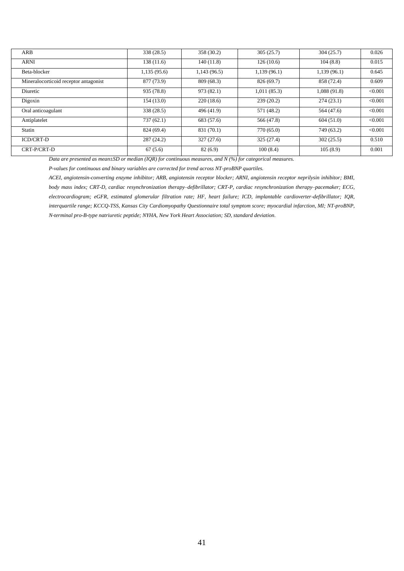| ARB                                   | 338 (28.5)  | 358 (30.2)   | 305(25.7)   | 304(25.7)    | 0.026   |
|---------------------------------------|-------------|--------------|-------------|--------------|---------|
| ARNI                                  | 138(11.6)   | 140(11.8)    | 126(10.6)   | 104(8.8)     | 0.015   |
| Beta-blocker                          | 1,135(95.6) | 1,143 (96.5) | 1,139(96.1) | 1,139(96.1)  | 0.645   |
| Mineralocorticoid receptor antagonist | 877 (73.9)  | 809 (68.3)   | 826 (69.7)  | 858 (72.4)   | 0.609   |
| Diuretic                              | 935 (78.8)  | 973 (82.1)   | 1,011(85.3) | 1,088 (91.8) | < 0.001 |
| Digoxin                               | 154(13.0)   | 220(18.6)    | 239(20.2)   | 274(23.1)    | < 0.001 |
| Oral anticoagulant                    | 338 (28.5)  | 496 (41.9)   | 571 (48.2)  | 564 (47.6)   | < 0.001 |
| Antiplatelet                          | 737(62.1)   | 683 (57.6)   | 566 (47.8)  | 604(51.0)    | < 0.001 |
| Statin                                | 824 (69.4)  | 831 (70.1)   | 770 (65.0)  | 749 (63.2)   | < 0.001 |
| <b>ICD/CRT-D</b>                      | 287(24.2)   | 327(27.6)    | 325 (27.4)  | 302(25.5)    | 0.510   |
| CRT-P/CRT-D                           | 67(5.6)     | 82(6.9)      | 100(8.4)    | 105(8.9)     | 0.001   |

*Data are presented as mean±SD or median (IQR) for continuous measures, and N (%) for categorical measures.*

*P-values for continuous and binary variables are corrected for trend across NT-proBNP quartiles.*

*ACEI, angiotensin-converting enzyme inhibitor; ARB, angiotensin receptor blocker; ARNI, angiotensin receptor neprilysin inhibitor; BMI, body mass index; CRT-D, cardiac resynchronization therapy-defibrillator; CRT-P, cardiac resynchronization therapy-pacemaker; ECG, electrocardiogram; eGFR, estimated glomerular filtration rate; HF, heart failure; ICD, implantable cardioverter-defibrillator; IQR, interquartile range; KCCQ-TSS, Kansas City Cardiomyopathy Questionnaire total symptom score; myocardial infarction, MI; NT-proBNP, N-terminal pro-B-type natriuretic peptide; NYHA, New York Heart Association; SD, standard deviation.*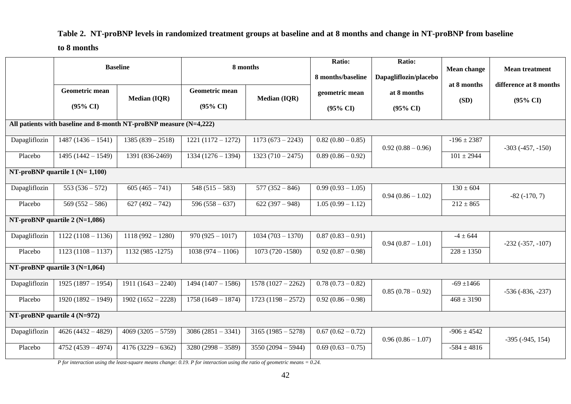### **Table 2. NT-proBNP levels in randomized treatment groups at baseline and at 8 months and change in NT-proBNP from baseline**

#### **to 8 months**

|               |                                                  | <b>Baseline</b>                                                    | 8 months                                     |                     | Ratio:<br>8 months/baseline           | Ratio:<br>Dapagliflozin/placebo    | <b>Mean change</b><br>at 8 months | <b>Mean treatment</b><br>difference at 8 months |  |
|---------------|--------------------------------------------------|--------------------------------------------------------------------|----------------------------------------------|---------------------|---------------------------------------|------------------------------------|-----------------------------------|-------------------------------------------------|--|
|               | <b>Geometric mean</b><br>$(95\% \text{ CI})$     | <b>Median (IQR)</b>                                                | <b>Geometric mean</b><br>$(95\% \text{ CI})$ | <b>Median (IQR)</b> | geometric mean<br>$(95\% \text{ CI})$ | at 8 months<br>$(95\% \text{ CI})$ | (SD)                              | $(95\% \text{ CI})$                             |  |
|               |                                                  | All patients with baseline and 8-month NT-proBNP measure (N=4,222) |                                              |                     |                                       |                                    |                                   |                                                 |  |
| Dapagliflozin | $1487(1436 - 1541)$                              | $1385(839-2518)$                                                   | $1221(1172 - 1272)$                          | $1173(673 - 2243)$  | $0.82(0.80-0.85)$                     | $0.92(0.88-0.96)$                  | $-196 \pm 2387$                   | $-303(-457, -150)$                              |  |
| Placebo       | $1495(1442 - 1549)$                              | 1391 (836-2469)                                                    | $1334(1276-1394)$                            | $1323(710-2475)$    | $0.89(0.86-0.92)$                     |                                    | $101 \pm 2944$                    |                                                 |  |
|               | NT-proBNP quartile $1(N=1,100)$                  |                                                                    |                                              |                     |                                       |                                    |                                   |                                                 |  |
| Dapagliflozin | $553(536-572)$                                   | $605(465 - 741)$                                                   | $548(515-583)$                               | $577(352-846)$      | $0.99(0.93-1.05)$                     | $0.94(0.86 - 1.02)$                | $130 \pm 604$                     | $-82(-170, 7)$                                  |  |
| Placebo       | $569(552 - 586)$                                 | $627(492 - 742)$                                                   | $596(558-637)$                               | $622(397-948)$      | $1.05(0.99 - 1.12)$                   |                                    | $212 \pm 865$                     |                                                 |  |
|               | NT-proBNP quartile $2(N=1,086)$                  |                                                                    |                                              |                     |                                       |                                    |                                   |                                                 |  |
| Dapagliflozin | $1122(1108 - 1136)$                              | $1118(992 - 1280)$                                                 | $970(925 - 1017)$                            | $1034(703 - 1370)$  | $0.87(0.83-0.91)$                     | $0.94(0.87-1.01)$                  | $-4 \pm 644$                      | $-232(-357, -107)$                              |  |
| Placebo       | $1123(1108 - 1137)$                              | 1132 (985 -1275)                                                   | $1038(974 - 1106)$                           | 1073 (720 -1580)    | $0.92(0.87-0.98)$                     |                                    | $228 \pm 1350$                    |                                                 |  |
|               | NT-proBNP quartile $3(N=1,064)$                  |                                                                    |                                              |                     |                                       |                                    |                                   |                                                 |  |
| Dapagliflozin | $1925(1897 - 1954)$                              | $1911(1643 - 2240)$                                                | $1494(1407 - 1586)$                          | $1578(1027-2262)$   | $0.78(0.73-0.82)$                     | $0.85(0.78-0.92)$                  | $-69 \pm 1466$                    | $-536 (-836, -237)$                             |  |
| Placebo       | $1920(1892 - 1949)$                              | $1902(1652 - 2228)$                                                | $1758(1649-1874)$                            | $1723(1198 - 2572)$ | $0.92(0.86-0.98)$                     |                                    | $468 \pm 3190$                    |                                                 |  |
|               | $\overline{\text{NT-proBNP}}$ quartile 4 (N=972) |                                                                    |                                              |                     |                                       |                                    |                                   |                                                 |  |
| Dapagliflozin | $4626 (4432 - 4829)$                             | $4069(3205 - 5759)$                                                | $3086(2851 - 3341)$                          | $3165(1985 - 5278)$ | $0.67(0.62 - 0.72)$                   | $0.96(0.86 - 1.07)$                | $-906 \pm 4542$                   | $-395$ $(-945, 154)$                            |  |
| Placebo       | $4752(4539 - 4974)$                              | $4176(3229 - 6362)$                                                | $3280(2998-3589)$                            | $3550(2094 - 5944)$ | $0.69(0.63 - 0.75)$                   |                                    | $-584 \pm 4816$                   |                                                 |  |

*P* for interaction using the least-square means change: 0.19. *P* for interaction using the ratio of geometric means = 0.24.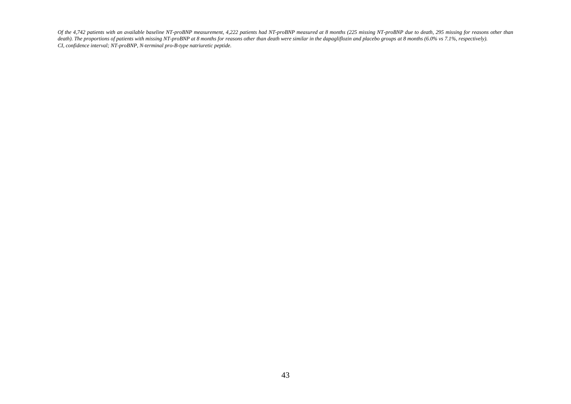*Of the 4,742 patients with an available baseline NT-proBNP measurement, 4,222 patients had NT-proBNP measured at 8 months (225 missing NT-proBNP due to death, 295 missing for reasons other than*  death). The proportions of patients with missing NT-proBNP at 8 months for reasons other than death were similar in the dapagliflozin and placebo groups at 8 months (6.0% vs 7.1%, respectively). *CI, confidence interval; NT-proBNP, N-terminal pro-B-type natriuretic peptide.*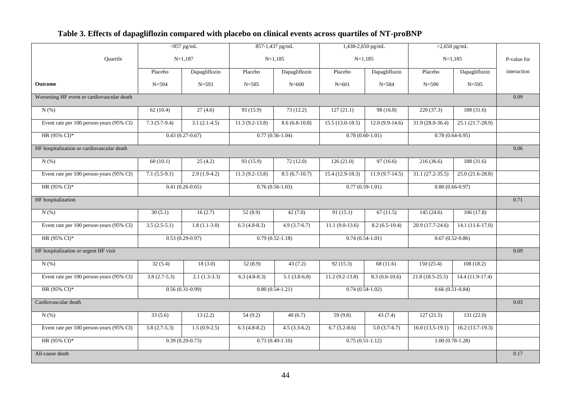### **Table 3. Effects of dapagliflozin compared with placebo on clinical events across quartiles of NT-proBNP**

|                                            |                   | $<$ 857 pg/mL     |                   | 857-1,437 pg/mL   | 1,438-2,650 pg/mL |                   | $>2,650$ pg/mL    |                   |             |
|--------------------------------------------|-------------------|-------------------|-------------------|-------------------|-------------------|-------------------|-------------------|-------------------|-------------|
| Quartile                                   |                   | $N=1,187$         |                   | $N=1,185$         |                   | $N=1,185$         |                   | $N=1,185$         | P-value for |
|                                            | Placebo           | Dapagliflozin     | Placebo           | Dapagliflozin     | Placebo           | Dapagliflozin     | Placebo           | Dapagliflozin     | interaction |
| <b>Outcome</b>                             | $N = 594$         | $N = 593$         | $N = 585$         | $N = 600$         | $N = 601$         | $N = 584$         | $N = 590$         | $N = 595$         |             |
| Worsening HF event or cardiovascular death |                   |                   |                   |                   |                   |                   |                   | 0.09              |             |
| N(%)                                       | 62(10.4)          | 27(4.6)           | 93 (15.9)         | 73(12.2)          | 127(21.1)         | 98 (16.8)         | 220(37.3)         | 188(31.6)         |             |
| Event rate per 100 person-years (95% CI)   | $7.3(5.7-9.4)$    | $3.1(2.1-4.5)$    | $11.3(9.2-13.8)$  | $8.6(6.8-10.8)$   | $15.5(13.0-18.5)$ | $12.0(9.9-14.6)$  | $31.9(28.0-36.4)$ | $25.1(21.7-28.9)$ |             |
| HR (95% CI)*                               |                   | $0.43(0.27-0.67)$ |                   | $0.77(0.56-1.04)$ |                   | $0.78(0.60-1.01)$ |                   | $0.78(0.64-0.95)$ |             |
| HF hospitalization or cardiovascular death |                   |                   |                   |                   |                   |                   |                   |                   | 0.06        |
| $N(\%)$                                    | 60(10.1)          | 25(4.2)           | 93 (15.9)         | 72(12.0)          | 126(21.0)         | 97(16.6)          | 216(36.6)         | 188(31.6)         |             |
| Event rate per 100 person-years (95% CI)   | $7.1(5.5-9.1)$    | $2.9(1.9-4.2)$    | $11.3(9.2-13.8)$  | $8.5(6.7-10.7)$   | $15.4(12.9-18.3)$ | $11.9(9.7-14.5)$  | $31.1(27.2-35.5)$ | $25.0(21.6-28.8)$ |             |
| HR (95% CI)*                               | $0.41(0.26-0.65)$ |                   | $0.76(0.56-1.03)$ |                   | $0.77(0.59-1.01)$ |                   | $0.80(0.66-0.97)$ |                   |             |
| HF hospitalization                         |                   |                   |                   |                   |                   |                   |                   |                   | 0.71        |
| $N(\%)$                                    | 30(5.1)           | 16(2.7)           | 52(8.9)           | 42(7.0)           | 91(15.1)          | 67(11.5)          | 145(24.6)         | 106(17.8)         |             |
| Event rate per 100 person-years (95% CI)   | $3.5(2.5-5.1)$    | $1.8(1.1-3.0)$    | $6.3(4.8-8.3)$    | $4.9(3.7-6.7)$    | $11.1 (9.0-13.6)$ | $8.2(6.5-10.4)$   | $20.9(17.7-24.6)$ | $14.1(11.6-17.0)$ |             |
| HR (95% CI)*                               |                   | $0.53(0.29-0.97)$ | $0.79(0.52-1.18)$ |                   |                   | $0.74(0.54-1.01)$ |                   | $0.67(0.52-0.86)$ |             |
| HF hospitalization or urgent HF visit      |                   |                   |                   |                   |                   |                   |                   |                   | 0.69        |
| $N(\%)$                                    | 32(5.4)           | 18(3.0)           | 52(8.9)           | 43(7.2)           | 92(15.3)          | 68(11.6)          | 150(25.4)         | 108(18.2)         |             |
| Event rate per 100 person-years (95% CI)   | $3.8(2.7-5.3)$    | $2.1(1.3-3.3)$    | $6.3(4.8-8.3)$    | $5.1(3.8-6.8)$    | $11.2(9.2-13.8)$  | $8.3(6.6-10.6)$   | $21.8(18.5-25.5)$ | $14.4(11.9-17.4)$ |             |
| HR (95% CI)*                               |                   | $0.56(0.31-0.99)$ | $0.80(0.54-1.21)$ |                   |                   | $0.74(0.54-1.02)$ |                   | $0.66(0.51-0.84)$ |             |
| Cardiovascular death                       |                   |                   |                   |                   |                   |                   |                   |                   | 0.03        |
| $N(\%)$                                    | 33(5.6)           | 13(2.2)           | 54(9.2)           | 40(6.7)           | 59 (9.8)          | 43(7.4)           | 127(21.5)         | 131(22.0)         |             |
| Event rate per 100 person-years (95% CI)   | $3.8(2.7-5.3)$    | $1.5(0.9-2.5)$    | $6.3(4.8-8.2)$    | $4.5(3.3-6.2)$    | $6.7(5.2-8.6)$    | $5.0(3.7-6.7)$    | $16.0(13.5-19.1)$ | $16.2(13.7-19.3)$ |             |
| HR (95% CI)*                               |                   | $0.39(0.20-0.73)$ |                   | $0.73(0.49-1.10)$ | $0.75(0.51-1.12)$ |                   | $1.00(0.78-1.28)$ |                   |             |
| All-cause death                            |                   |                   |                   |                   |                   |                   |                   |                   | 0.17        |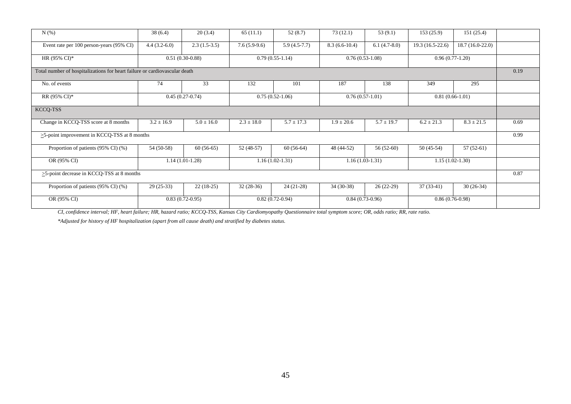| N(% )                                                                      | 38(6.4)           | 20(3.4)                                | 65(11.1)          | 52(8.7)        | 73(12.1)          | 53 $(9.1)$                             | 153(25.9)         | 151 (25.4)       |      |  |
|----------------------------------------------------------------------------|-------------------|----------------------------------------|-------------------|----------------|-------------------|----------------------------------------|-------------------|------------------|------|--|
| Event rate per 100 person-years (95% CI)                                   | $4.4(3.2-6.0)$    | $2.3(1.5-3.5)$                         | $7.6(5.9-9.6)$    | $5.9(4.5-7.7)$ | $8.3(6.6-10.4)$   | $6.1(4.7-8.0)$                         | 19.3 (16.5-22.6)  | 18.7 (16.0-22.0) |      |  |
| HR $(95\% \text{ CI})^*$                                                   | $0.51(0.30-0.88)$ |                                        | $0.79(0.55-1.14)$ |                | $0.76(0.53-1.08)$ |                                        | $0.96(0.77-1.20)$ |                  |      |  |
| Total number of hospitalizations for heart failure or cardiovascular death |                   |                                        |                   |                |                   |                                        |                   |                  |      |  |
| No. of events                                                              | 74                | 33                                     | 132               | 101            | 187               | 138                                    | 349               | 295              |      |  |
| RR (95% CI)*                                                               |                   | $0.45(0.27-0.74)$<br>$0.75(0.52-1.06)$ |                   |                |                   | $0.76(0.57-1.01)$<br>$0.81(0.66-1.01)$ |                   |                  |      |  |
| KCCQ-TSS                                                                   |                   |                                        |                   |                |                   |                                        |                   |                  |      |  |
| Change in KCCQ-TSS score at 8 months                                       | $3.2 \pm 16.9$    | $5.0 \pm 16.0$                         | $2.3 \pm 18.0$    | $5.7 \pm 17.3$ | $1.9 \pm 20.6$    | $5.7 \pm 19.7$                         | $6.2 \pm 21.3$    | $8.3 \pm 21.5$   | 0.69 |  |
| $>5$ -point improvement in KCCQ-TSS at 8 months                            |                   |                                        |                   |                |                   |                                        |                   |                  | 0.99 |  |
| Proportion of patients (95% CI) (%)                                        | $54(50-58)$       | $60(56-65)$                            | $52(48-57)$       | $60(56-64)$    | 48 (44-52)        | $56(52-60)$                            | $50(45-54)$       | $57(52-61)$      |      |  |
| OR (95% CI)                                                                |                   | $1.14(1.01-1.28)$                      | $1.16(1.02-1.31)$ |                | $1.16(1.03-1.31)$ |                                        | $1.15(1.02-1.30)$ |                  |      |  |
| >5-point decrease in KCCQ-TSS at 8 months                                  |                   |                                        |                   |                |                   |                                        |                   |                  |      |  |
| Proportion of patients (95% CI) (%)                                        | $29(25-33)$       | $22(18-25)$                            | $32(28-36)$       | $24(21-28)$    | $34(30-38)$       | $26(22-29)$                            | $37(33-41)$       | $30(26-34)$      |      |  |
| OR (95% CI)                                                                | $0.83(0.72-0.95)$ |                                        | $0.82(0.72-0.94)$ |                | $0.84(0.73-0.96)$ |                                        | $0.86(0.76-0.98)$ |                  |      |  |

*CI, confidence interval; HF, heart failure; HR, hazard ratio; KCCQ-TSS, Kansas City Cardiomyopathy Questionnaire total symptom score; OR, odds ratio; RR, rate ratio.*

*\*Adjusted for history of HF hospitalization (apart from all cause death) and stratified by diabetes status.*